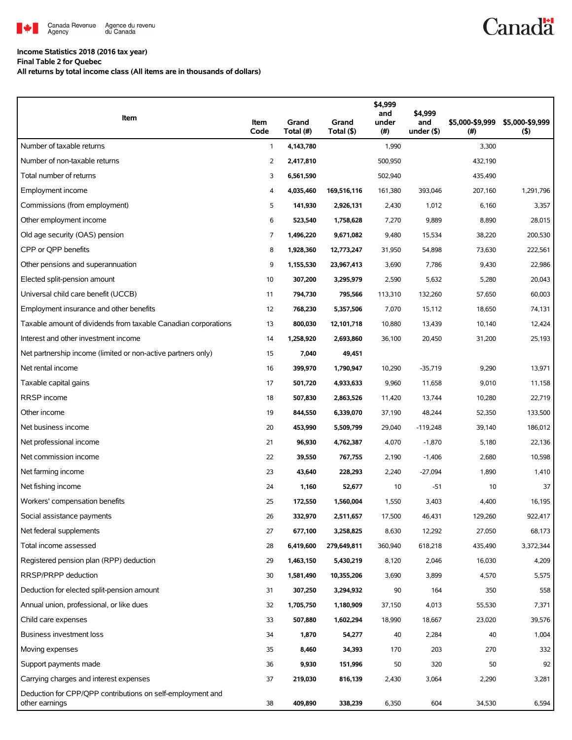

## **Income Statistics 2018 (2016 tax year)**

**Final Table 2 for Quebec**

**All returns by total income class (All items are in thousands of dollars)**

| Item                                                                         | Item<br>Code   | Grand<br>Total (#) | Grand<br>Total (\$) | \$4,999<br>and<br>under<br>$(\#)$ | \$4,999<br>and<br>under (\$) | \$5,000-\$9,999<br>(# ) | \$5,000-\$9,999<br>$($ \$) |
|------------------------------------------------------------------------------|----------------|--------------------|---------------------|-----------------------------------|------------------------------|-------------------------|----------------------------|
| Number of taxable returns                                                    | 1              | 4,143,780          |                     | 1,990                             |                              | 3,300                   |                            |
| Number of non-taxable returns                                                | $\overline{2}$ | 2,417,810          |                     | 500,950                           |                              | 432,190                 |                            |
| Total number of returns                                                      | 3              | 6,561,590          |                     | 502,940                           |                              | 435,490                 |                            |
| Employment income                                                            | 4              | 4,035,460          | 169,516,116         | 161,380                           | 393,046                      | 207,160                 | 1,291,796                  |
| Commissions (from employment)                                                | 5              | 141,930            | 2,926,131           | 2,430                             | 1,012                        | 6,160                   | 3,357                      |
| Other employment income                                                      | 6              | 523,540            | 1,758,628           | 7,270                             | 9,889                        | 8,890                   | 28,015                     |
| Old age security (OAS) pension                                               | 7              | 1,496,220          | 9,671,082           | 9,480                             | 15,534                       | 38,220                  | 200,530                    |
| CPP or OPP benefits                                                          | 8              | 1,928,360          | 12,773,247          | 31,950                            | 54,898                       | 73,630                  | 222,561                    |
| Other pensions and superannuation                                            | 9              | 1,155,530          | 23,967,413          | 3,690                             | 7,786                        | 9,430                   | 22,986                     |
| Elected split-pension amount                                                 | 10             | 307,200            | 3,295,979           | 2,590                             | 5,632                        | 5,280                   | 20,043                     |
| Universal child care benefit (UCCB)                                          | 11             | 794,730            | 795,566             | 113,310                           | 132,260                      | 57,650                  | 60,003                     |
| Employment insurance and other benefits                                      | 12             | 768,230            | 5,357,506           | 7,070                             | 15,112                       | 18,650                  | 74,131                     |
| Taxable amount of dividends from taxable Canadian corporations               | 13             | 800,030            | 12,101,718          | 10,880                            | 13,439                       | 10,140                  | 12,424                     |
| Interest and other investment income                                         | 14             | 1,258,920          | 2,693,860           | 36,100                            | 20,450                       | 31,200                  | 25,193                     |
| Net partnership income (limited or non-active partners only)                 | 15             | 7,040              | 49,451              |                                   |                              |                         |                            |
| Net rental income                                                            | 16             | 399,970            | 1,790,947           | 10,290                            | $-35,719$                    | 9,290                   | 13,971                     |
| Taxable capital gains                                                        | 17             | 501,720            | 4,933,633           | 9,960                             | 11,658                       | 9,010                   | 11,158                     |
| RRSP income                                                                  | 18             | 507,830            | 2,863,526           | 11,420                            | 13,744                       | 10,280                  | 22,719                     |
| Other income                                                                 | 19             | 844,550            | 6,339,070           | 37,190                            | 48,244                       | 52,350                  | 133,500                    |
| Net business income                                                          | 20             | 453,990            | 5,509,799           | 29,040                            | $-119,248$                   | 39,140                  | 186,012                    |
| Net professional income                                                      | 21             | 96,930             | 4,762,387           | 4,070                             | $-1,870$                     | 5,180                   | 22,136                     |
| Net commission income                                                        | 22             | 39,550             | 767,755             | 2,190                             | $-1,406$                     | 2,680                   | 10,598                     |
| Net farming income                                                           | 23             | 43,640             | 228,293             | 2,240                             | $-27,094$                    | 1,890                   | 1,410                      |
| Net fishing income                                                           | 24             | 1,160              | 52,677              | 10                                | $-51$                        | 10                      | 37                         |
| Workers' compensation benefits                                               | 25             | 172,550            | 1,560,004           | 1,550                             | 3,403                        | 4,400                   | 16,195                     |
| Social assistance payments                                                   | 26             | 332,970            | 2,511,657           | 17,500                            | 46,431                       | 129,260                 | 922,417                    |
| Net federal supplements                                                      | 27             | 677,100            | 3,258,825           | 8,630                             | 12,292                       | 27,050                  | 68,173                     |
| Total income assessed                                                        | 28             | 6,419,600          | 279,649,811         | 360,940                           | 618,218                      | 435,490                 | 3,372,344                  |
| Registered pension plan (RPP) deduction                                      | 29             | 1,463,150          | 5,430,219           | 8,120                             | 2,046                        | 16,030                  | 4,209                      |
| RRSP/PRPP deduction                                                          | 30             | 1,581,490          | 10,355,206          | 3,690                             | 3,899                        | 4,570                   | 5,575                      |
| Deduction for elected split-pension amount                                   | 31             | 307,250            | 3,294,932           | 90                                | 164                          | 350                     | 558                        |
| Annual union, professional, or like dues                                     | 32             | 1,705,750          | 1,180,909           | 37,150                            | 4,013                        | 55,530                  | 7,371                      |
| Child care expenses                                                          | 33             | 507,880            | 1,602,294           | 18,990                            | 18,667                       | 23,020                  | 39,576                     |
| Business investment loss                                                     | 34             | 1,870              | 54,277              | 40                                | 2,284                        | 40                      | 1,004                      |
| Moving expenses                                                              | 35             | 8,460              | 34,393              | 170                               | 203                          | 270                     | 332                        |
| Support payments made                                                        | 36             | 9,930              | 151,996             | 50                                | 320                          | 50                      | 92                         |
| Carrying charges and interest expenses                                       | 37             | 219,030            | 816,139             | 2,430                             | 3,064                        | 2,290                   | 3,281                      |
| Deduction for CPP/QPP contributions on self-employment and<br>other earnings | 38             | 409,890            | 338,239             | 6,350                             | 604                          | 34,530                  | 6,594                      |

**Canadä**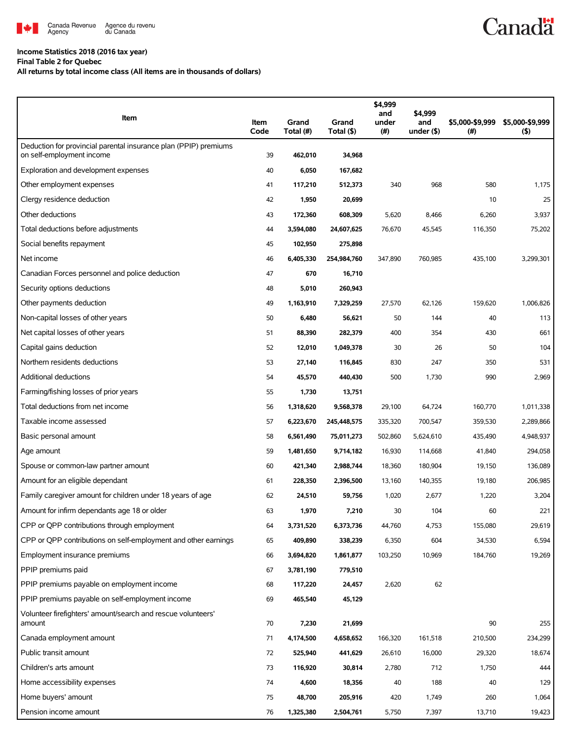

## **Income Statistics 2018 (2016 tax year)**

**Final Table 2 for Quebec**

**All returns by total income class (All items are in thousands of dollars)**

| Item                                                                                          | Item<br>Code | Grand<br>Total (#) | Grand<br>Total (\$) | \$4,999<br>and<br>under<br>(#) | \$4,999<br>and<br>under (\$) | \$5,000-\$9,999<br>(# ) | \$5,000-\$9,999<br>$($ \$) |
|-----------------------------------------------------------------------------------------------|--------------|--------------------|---------------------|--------------------------------|------------------------------|-------------------------|----------------------------|
| Deduction for provincial parental insurance plan (PPIP) premiums<br>on self-employment income | 39           | 462,010            | 34,968              |                                |                              |                         |                            |
| Exploration and development expenses                                                          | 40           | 6,050              | 167,682             |                                |                              |                         |                            |
| Other employment expenses                                                                     | 41           | 117,210            | 512,373             | 340                            | 968                          | 580                     | 1,175                      |
| Clergy residence deduction                                                                    | 42           | 1,950              | 20,699              |                                |                              | 10                      | 25                         |
| Other deductions                                                                              | 43           | 172,360            | 608,309             | 5,620                          | 8,466                        | 6,260                   | 3,937                      |
| Total deductions before adjustments                                                           | 44           | 3,594,080          | 24,607,625          | 76,670                         | 45,545                       | 116,350                 | 75,202                     |
| Social benefits repayment                                                                     | 45           | 102,950            | 275,898             |                                |                              |                         |                            |
| Net income                                                                                    | 46           | 6,405,330          | 254,984,760         | 347,890                        | 760,985                      | 435,100                 | 3,299,301                  |
| Canadian Forces personnel and police deduction                                                | 47           | 670                | 16,710              |                                |                              |                         |                            |
| Security options deductions                                                                   | 48           | 5,010              | 260,943             |                                |                              |                         |                            |
| Other payments deduction                                                                      | 49           | 1,163,910          | 7,329,259           | 27,570                         | 62,126                       | 159,620                 | 1,006,826                  |
| Non-capital losses of other years                                                             | 50           | 6,480              | 56,621              | 50                             | 144                          | 40                      | 113                        |
| Net capital losses of other years                                                             | 51           | 88,390             | 282,379             | 400                            | 354                          | 430                     | 661                        |
| Capital gains deduction                                                                       | 52           | 12,010             | 1,049,378           | 30                             | 26                           | 50                      | 104                        |
| Northern residents deductions                                                                 | 53           | 27,140             | 116,845             | 830                            | 247                          | 350                     | 531                        |
| Additional deductions                                                                         | 54           | 45,570             | 440,430             | 500                            | 1,730                        | 990                     | 2,969                      |
| Farming/fishing losses of prior years                                                         | 55           | 1,730              | 13,751              |                                |                              |                         |                            |
| Total deductions from net income                                                              | 56           | 1,318,620          | 9,568,378           | 29,100                         | 64,724                       | 160,770                 | 1,011,338                  |
| Taxable income assessed                                                                       | 57           | 6,223,670          | 245,448,575         | 335,320                        | 700,547                      | 359,530                 | 2,289,866                  |
| Basic personal amount                                                                         | 58           | 6,561,490          | 75,011,273          | 502,860                        | 5,624,610                    | 435,490                 | 4,948,937                  |
| Age amount                                                                                    | 59           | 1,481,650          | 9,714,182           | 16,930                         | 114,668                      | 41,840                  | 294,058                    |
| Spouse or common-law partner amount                                                           | 60           | 421,340            | 2,988,744           | 18,360                         | 180,904                      | 19,150                  | 136,089                    |
| Amount for an eligible dependant                                                              | 61           | 228,350            | 2,396,500           | 13,160                         | 140,355                      | 19,180                  | 206,985                    |
| Family caregiver amount for children under 18 years of age                                    | 62           | 24,510             | 59,756              | 1,020                          | 2,677                        | 1,220                   | 3,204                      |
| Amount for infirm dependants age 18 or older                                                  | 63           | 1,970              | 7,210               | 30                             | 104                          | 60                      | 221                        |
| CPP or QPP contributions through employment                                                   | 64           | 3,731,520          | 6,373,736           | 44,760                         | 4,753                        | 155,080                 | 29,619                     |
| CPP or QPP contributions on self-employment and other earnings                                | 65           | 409,890            | 338,239             | 6,350                          | 604                          | 34,530                  | 6,594                      |
| Employment insurance premiums                                                                 | 66           | 3,694,820          | 1,861,877           | 103,250                        | 10,969                       | 184,760                 | 19,269                     |
| PPIP premiums paid                                                                            | 67           | 3,781,190          | 779,510             |                                |                              |                         |                            |
| PPIP premiums payable on employment income                                                    | 68           | 117,220            | 24,457              | 2,620                          | 62                           |                         |                            |
| PPIP premiums payable on self-employment income                                               | 69           | 465,540            | 45,129              |                                |                              |                         |                            |
| Volunteer firefighters' amount/search and rescue volunteers'<br>amount                        | 70           | 7,230              | 21,699              |                                |                              | 90                      | 255                        |
| Canada employment amount                                                                      | 71           | 4,174,500          | 4,658,652           | 166,320                        | 161,518                      | 210,500                 | 234,299                    |
| Public transit amount                                                                         | 72           | 525,940            | 441,629             | 26,610                         | 16,000                       | 29,320                  | 18,674                     |
| Children's arts amount                                                                        | 73           | 116,920            | 30,814              | 2,780                          | 712                          | 1,750                   | 444                        |
| Home accessibility expenses                                                                   | 74           | 4,600              | 18,356              | 40                             | 188                          | 40                      | 129                        |
| Home buyers' amount                                                                           | 75           | 48,700             | 205,916             | 420                            | 1,749                        | 260                     | 1,064                      |
| Pension income amount                                                                         | 76           | 1,325,380          | 2,504,761           | 5,750                          | 7,397                        | 13,710                  | 19,423                     |

**Canadä**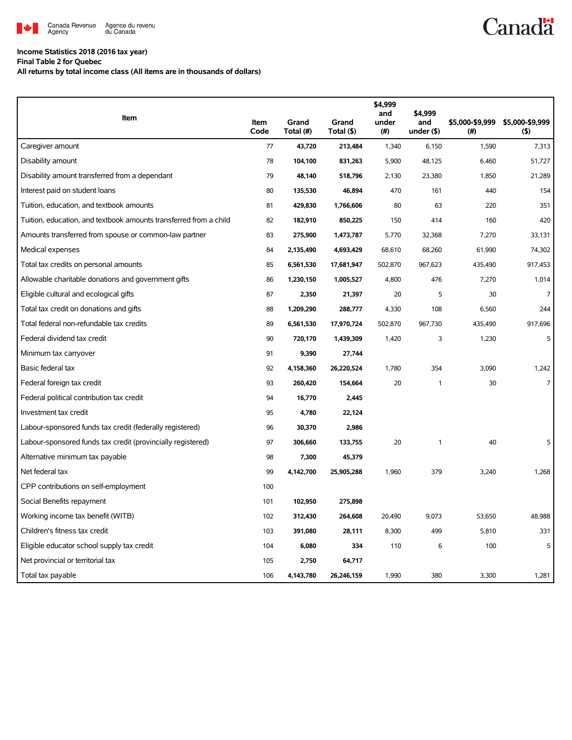

## **Income Statistics 2018 (2016 tax year)**

**Final Table 2 for Quebec**

**All returns by total income class (All items are in thousands of dollars)**

| Item                                                              | Item<br>Code | Grand<br>Total (#) | Grand<br>Total (\$) | \$4,999<br>and<br>under<br>(# ) | \$4,999<br>and<br>under $($ \$) | \$5,000-\$9,999<br>(# ) | \$5,000-\$9,999<br>(5) |
|-------------------------------------------------------------------|--------------|--------------------|---------------------|---------------------------------|---------------------------------|-------------------------|------------------------|
| Caregiver amount                                                  | 77           | 43,720             | 213,484             | 1,340                           | 6,150                           | 1,590                   | 7,313                  |
| Disability amount                                                 | 78           | 104,100            | 831,263             | 5,900                           | 48,125                          | 6,460                   | 51,727                 |
| Disability amount transferred from a dependant                    | 79           | 48,140             | 518,796             | 2,130                           | 23,380                          | 1,850                   | 21,289                 |
| Interest paid on student loans                                    | 80           | 135,530            | 46,894              | 470                             | 161                             | 440                     | 154                    |
| Tuition, education, and textbook amounts                          | 81           | 429,830            | 1,766,606           | 80                              | 63                              | 220                     | 351                    |
| Tuition, education, and textbook amounts transferred from a child | 82           | 182,910            | 850,225             | 150                             | 414                             | 160                     | 420                    |
| Amounts transferred from spouse or common-law partner             | 83           | 275,900            | 1,473,787           | 5,770                           | 32,368                          | 7,270                   | 33,131                 |
| Medical expenses                                                  | 84           | 2,135,490          | 4,693,429           | 68,610                          | 68,260                          | 61,990                  | 74,302                 |
| Total tax credits on personal amounts                             | 85           | 6,561,530          | 17,681,947          | 502,870                         | 967,623                         | 435,490                 | 917,453                |
| Allowable charitable donations and government gifts               | 86           | 1,230,150          | 1,005,527           | 4,800                           | 476                             | 7,270                   | 1,014                  |
| Eligible cultural and ecological gifts                            | 87           | 2,350              | 21,397              | 20                              | 5                               | 30                      | $\overline{7}$         |
| Total tax credit on donations and gifts                           | 88           | 1,209,290          | 288,777             | 4,330                           | 108                             | 6,560                   | 244                    |
| Total federal non-refundable tax credits                          | 89           | 6,561,530          | 17,970,724          | 502,870                         | 967,730                         | 435,490                 | 917,696                |
| Federal dividend tax credit                                       | 90           | 720,170            | 1,439,309           | 1,420                           | 3                               | 1,230                   | 5                      |
| Minimum tax carryover                                             | 91           | 9,390              | 27,744              |                                 |                                 |                         |                        |
| Basic federal tax                                                 | 92           | 4,158,360          | 26,220,524          | 1,780                           | 354                             | 3,090                   | 1,242                  |
| Federal foreign tax credit                                        | 93           | 260,420            | 154,664             | 20                              | 1                               | 30                      | $\overline{7}$         |
| Federal political contribution tax credit                         | 94           | 16,770             | 2,445               |                                 |                                 |                         |                        |
| Investment tax credit                                             | 95           | 4,780              | 22,124              |                                 |                                 |                         |                        |
| Labour-sponsored funds tax credit (federally registered)          | 96           | 30,370             | 2,986               |                                 |                                 |                         |                        |
| Labour-sponsored funds tax credit (provincially registered)       | 97           | 306,660            | 133,755             | 20                              | 1                               | 40                      | 5                      |
| Alternative minimum tax payable                                   | 98           | 7,300              | 45,379              |                                 |                                 |                         |                        |
| Net federal tax                                                   | 99           | 4,142,700          | 25,905,288          | 1,960                           | 379                             | 3,240                   | 1,268                  |
| CPP contributions on self-employment                              | 100          |                    |                     |                                 |                                 |                         |                        |
| Social Benefits repayment                                         | 101          | 102,950            | 275,898             |                                 |                                 |                         |                        |
| Working income tax benefit (WITB)                                 | 102          | 312,430            | 264,608             | 20,490                          | 9,073                           | 53,650                  | 48,988                 |
| Children's fitness tax credit                                     | 103          | 391,080            | 28,111              | 8,300                           | 499                             | 5,810                   | 331                    |
| Eligible educator school supply tax credit                        | 104          | 6,080              | 334                 | 110                             | 6                               | 100                     | 5                      |
| Net provincial or territorial tax                                 | 105          | 2,750              | 64,717              |                                 |                                 |                         |                        |
| Total tax payable                                                 | 106          | 4,143,780          | 26,246,159          | 1,990                           | 380                             | 3,300                   | 1,281                  |

**Canadä**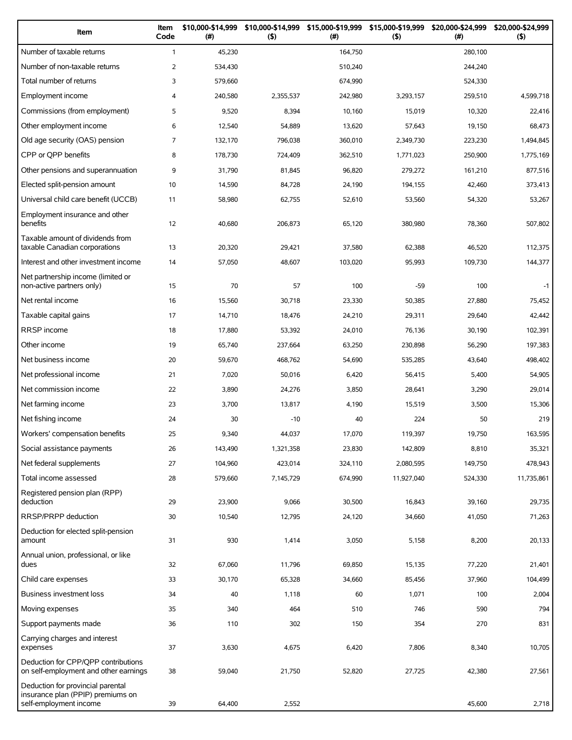| Item                                                                                             | Item<br>Code   | \$10,000-\$14,999<br>(#) | \$10,000-\$14,999<br>(5) | \$15,000-\$19,999<br>(# ) | \$15,000-\$19,999<br>(5) | \$20,000-\$24,999<br>(#) | \$20,000-\$24,999<br>$($ \$) |
|--------------------------------------------------------------------------------------------------|----------------|--------------------------|--------------------------|---------------------------|--------------------------|--------------------------|------------------------------|
| Number of taxable returns                                                                        | $\mathbf{1}$   | 45,230                   |                          | 164,750                   |                          | 280,100                  |                              |
| Number of non-taxable returns                                                                    | $\overline{2}$ | 534,430                  |                          | 510,240                   |                          | 244,240                  |                              |
| Total number of returns                                                                          | 3              | 579,660                  |                          | 674,990                   |                          | 524,330                  |                              |
| Employment income                                                                                | 4              | 240,580                  | 2,355,537                | 242,980                   | 3,293,157                | 259,510                  | 4,599,718                    |
| Commissions (from employment)                                                                    | 5              | 9,520                    | 8,394                    | 10,160                    | 15,019                   | 10,320                   | 22,416                       |
| Other employment income                                                                          | 6              | 12,540                   | 54,889                   | 13,620                    | 57,643                   | 19,150                   | 68,473                       |
| Old age security (OAS) pension                                                                   | 7              | 132,170                  | 796,038                  | 360,010                   | 2,349,730                | 223,230                  | 1,494,845                    |
| CPP or QPP benefits                                                                              | 8              | 178,730                  | 724,409                  | 362,510                   | 1,771,023                | 250,900                  | 1,775,169                    |
| Other pensions and superannuation                                                                | 9              | 31,790                   | 81,845                   | 96,820                    | 279,272                  | 161,210                  | 877,516                      |
| Elected split-pension amount                                                                     | 10             | 14,590                   | 84,728                   | 24,190                    | 194,155                  | 42,460                   | 373,413                      |
| Universal child care benefit (UCCB)                                                              | 11             | 58,980                   | 62,755                   | 52,610                    | 53,560                   | 54,320                   | 53,267                       |
| Employment insurance and other<br>benefits                                                       | 12             | 40,680                   | 206,873                  | 65,120                    | 380,980                  | 78,360                   | 507,802                      |
| Taxable amount of dividends from<br>taxable Canadian corporations                                | 13             | 20,320                   | 29,421                   | 37,580                    | 62,388                   | 46,520                   | 112,375                      |
| Interest and other investment income                                                             | 14             | 57,050                   | 48,607                   | 103,020                   | 95,993                   | 109,730                  | 144,377                      |
| Net partnership income (limited or<br>non-active partners only)                                  | 15             | 70                       | 57                       | 100                       | $-59$                    | 100                      | $-1$                         |
| Net rental income                                                                                | 16             | 15,560                   | 30,718                   | 23,330                    | 50,385                   | 27,880                   | 75,452                       |
| Taxable capital gains                                                                            | 17             | 14,710                   | 18,476                   | 24,210                    | 29,311                   | 29,640                   | 42,442                       |
| RRSP income                                                                                      | 18             | 17,880                   | 53,392                   | 24,010                    | 76,136                   | 30,190                   | 102,391                      |
| Other income                                                                                     | 19             | 65,740                   | 237,664                  | 63,250                    | 230,898                  | 56,290                   | 197,383                      |
| Net business income                                                                              | 20             | 59,670                   | 468,762                  | 54,690                    | 535,285                  | 43,640                   | 498,402                      |
| Net professional income                                                                          | 21             | 7,020                    | 50,016                   | 6,420                     | 56,415                   | 5,400                    | 54,905                       |
| Net commission income                                                                            | 22             | 3,890                    | 24,276                   | 3,850                     | 28,641                   | 3,290                    | 29,014                       |
| Net farming income                                                                               | 23             | 3,700                    | 13,817                   | 4,190                     | 15,519                   | 3,500                    | 15,306                       |
| Net fishing income                                                                               | 24             | 30                       | $-10$                    | 40                        | 224                      | 50                       | 219                          |
| Workers' compensation benefits                                                                   | 25             | 9,340                    | 44,037                   | 17,070                    | 119,397                  | 19,750                   | 163,595                      |
| Social assistance payments                                                                       | 26             | 143,490                  | 1,321,358                | 23,830                    | 142,809                  | 8,810                    | 35,321                       |
| Net federal supplements                                                                          | 27             | 104,960                  | 423,014                  | 324,110                   | 2,080,595                | 149,750                  | 478,943                      |
| Total income assessed                                                                            | 28             | 579,660                  | 7,145,729                | 674,990                   | 11,927,040               | 524,330                  | 11,735,861                   |
| Registered pension plan (RPP)<br>deduction                                                       | 29             | 23,900                   | 9,066                    | 30,500                    | 16,843                   | 39,160                   | 29,735                       |
| RRSP/PRPP deduction                                                                              | 30             | 10,540                   | 12,795                   | 24,120                    | 34,660                   | 41,050                   | 71,263                       |
| Deduction for elected split-pension<br>amount                                                    | 31             | 930                      | 1,414                    | 3,050                     | 5,158                    | 8,200                    | 20,133                       |
| Annual union, professional, or like<br>dues                                                      | 32             | 67,060                   | 11,796                   | 69,850                    | 15,135                   | 77,220                   | 21,401                       |
| Child care expenses                                                                              | 33             | 30,170                   | 65,328                   | 34,660                    | 85,456                   | 37,960                   | 104,499                      |
| Business investment loss                                                                         | 34             | 40                       | 1,118                    | 60                        | 1,071                    | 100                      | 2,004                        |
| Moving expenses                                                                                  | 35             | 340                      | 464                      | 510                       | 746                      | 590                      | 794                          |
| Support payments made                                                                            | 36             | 110                      | 302                      | 150                       | 354                      | 270                      | 831                          |
| Carrying charges and interest<br>expenses                                                        | 37             | 3,630                    | 4,675                    | 6,420                     | 7,806                    | 8,340                    | 10,705                       |
| Deduction for CPP/QPP contributions<br>on self-employment and other earnings                     | 38             | 59,040                   | 21,750                   | 52,820                    | 27,725                   | 42,380                   | 27,561                       |
| Deduction for provincial parental<br>insurance plan (PPIP) premiums on<br>self-employment income | 39             | 64,400                   | 2,552                    |                           |                          | 45,600                   | 2,718                        |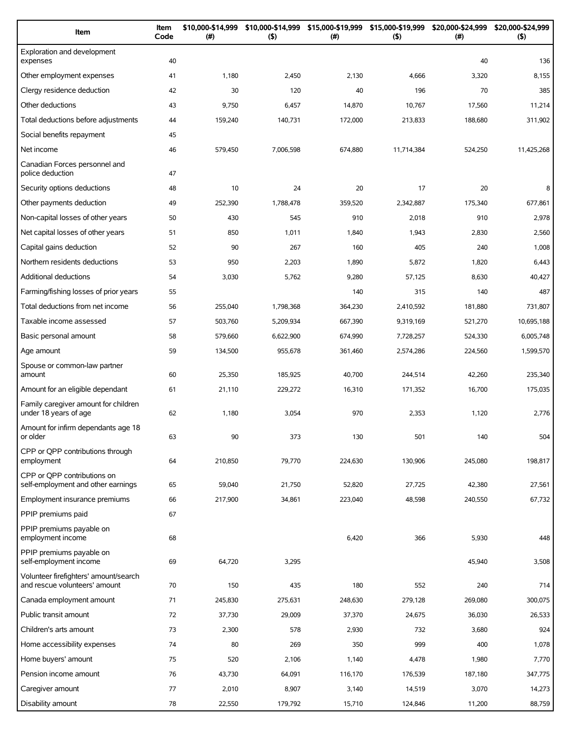| Item                                                                   | Item<br>Code | \$10,000-\$14,999<br>(#) | \$10,000-\$14,999<br>$($ \$) | $(\#)$  | \$15,000-\$19,999 \$15,000-\$19,999<br>(5) | \$20,000-\$24,999<br>(#) | \$20,000-\$24,999<br>(5) |
|------------------------------------------------------------------------|--------------|--------------------------|------------------------------|---------|--------------------------------------------|--------------------------|--------------------------|
| Exploration and development<br>expenses                                | 40           |                          |                              |         |                                            | 40                       | 136                      |
| Other employment expenses                                              | 41           | 1,180                    | 2,450                        | 2,130   | 4,666                                      | 3,320                    | 8,155                    |
| Clergy residence deduction                                             | 42           | 30                       | 120                          | 40      | 196                                        | 70                       | 385                      |
| Other deductions                                                       | 43           | 9,750                    | 6,457                        | 14,870  | 10,767                                     | 17,560                   | 11,214                   |
| Total deductions before adjustments                                    | 44           | 159,240                  | 140,731                      | 172,000 | 213,833                                    | 188,680                  | 311,902                  |
| Social benefits repayment                                              | 45           |                          |                              |         |                                            |                          |                          |
| Net income                                                             | 46           | 579,450                  | 7,006,598                    | 674,880 | 11,714,384                                 | 524,250                  | 11,425,268               |
| Canadian Forces personnel and<br>police deduction                      | 47           |                          |                              |         |                                            |                          |                          |
| Security options deductions                                            | 48           | 10                       | 24                           | 20      | 17                                         | 20                       | 8                        |
| Other payments deduction                                               | 49           | 252,390                  | 1,788,478                    | 359,520 | 2,342,887                                  | 175,340                  | 677.861                  |
| Non-capital losses of other years                                      | 50           | 430                      | 545                          | 910     | 2,018                                      | 910                      | 2,978                    |
| Net capital losses of other years                                      | 51           | 850                      | 1,011                        | 1,840   | 1,943                                      | 2,830                    | 2,560                    |
| Capital gains deduction                                                | 52           | 90                       | 267                          | 160     | 405                                        | 240                      | 1,008                    |
| Northern residents deductions                                          | 53           | 950                      | 2,203                        | 1,890   | 5,872                                      | 1,820                    | 6,443                    |
| Additional deductions                                                  | 54           | 3,030                    | 5,762                        | 9,280   | 57,125                                     | 8,630                    | 40,427                   |
| Farming/fishing losses of prior years                                  | 55           |                          |                              | 140     | 315                                        | 140                      | 487                      |
| Total deductions from net income                                       | 56           | 255,040                  | 1,798,368                    | 364,230 | 2,410,592                                  | 181,880                  | 731,807                  |
| Taxable income assessed                                                | 57           | 503,760                  | 5,209,934                    | 667,390 | 9,319,169                                  | 521,270                  | 10,695,188               |
| Basic personal amount                                                  | 58           | 579,660                  | 6,622,900                    | 674,990 | 7,728,257                                  | 524,330                  | 6,005,748                |
| Age amount                                                             | 59           | 134,500                  | 955,678                      | 361,460 | 2,574,286                                  | 224,560                  | 1,599,570                |
| Spouse or common-law partner<br>amount                                 | 60           | 25,350                   | 185,925                      | 40,700  | 244,514                                    | 42,260                   | 235,340                  |
| Amount for an eligible dependant                                       | 61           | 21,110                   | 229,272                      | 16,310  | 171,352                                    | 16,700                   | 175,035                  |
| Family caregiver amount for children<br>under 18 years of age          | 62           | 1,180                    | 3,054                        | 970     | 2,353                                      | 1,120                    | 2,776                    |
| Amount for infirm dependants age 18<br>or older                        | 63           | 90                       | 373                          | 130     | 501                                        | 140                      | 504                      |
| CPP or QPP contributions through<br>employment                         | 64           | 210,850                  | 79,770                       | 224,630 | 130,906                                    | 245,080                  | 198,817                  |
| CPP or OPP contributions on<br>self-employment and other earnings      | 65           | 59,040                   | 21,750                       | 52,820  | 27,725                                     | 42,380                   | 27,561                   |
| Employment insurance premiums                                          | 66           | 217,900                  | 34,861                       | 223,040 | 48,598                                     | 240,550                  | 67,732                   |
| PPIP premiums paid                                                     | 67           |                          |                              |         |                                            |                          |                          |
| PPIP premiums payable on<br>employment income                          | 68           |                          |                              | 6,420   | 366                                        | 5,930                    | 448                      |
| PPIP premiums payable on<br>self-employment income                     | 69           | 64,720                   | 3,295                        |         |                                            | 45,940                   | 3,508                    |
| Volunteer firefighters' amount/search<br>and rescue volunteers' amount | 70           | 150                      | 435                          | 180     | 552                                        | 240                      | 714                      |
| Canada employment amount                                               | 71           | 245,830                  | 275,631                      | 248,630 | 279,128                                    | 269,080                  | 300,075                  |
| Public transit amount                                                  | 72           | 37,730                   | 29,009                       | 37,370  | 24,675                                     | 36,030                   | 26,533                   |
| Children's arts amount                                                 | 73           | 2,300                    | 578                          | 2,930   | 732                                        | 3,680                    | 924                      |
| Home accessibility expenses                                            | 74           | 80                       | 269                          | 350     | 999                                        | 400                      | 1,078                    |
| Home buyers' amount                                                    | 75           | 520                      | 2,106                        | 1,140   | 4,478                                      | 1,980                    | 7,770                    |
| Pension income amount                                                  | 76           | 43,730                   | 64,091                       | 116,170 | 176,539                                    | 187,180                  | 347,775                  |
| Caregiver amount                                                       | 77           | 2,010                    | 8,907                        | 3,140   | 14,519                                     | 3,070                    | 14,273                   |
| Disability amount                                                      | 78           | 22,550                   | 179,792                      | 15,710  | 124,846                                    | 11,200                   | 88,759                   |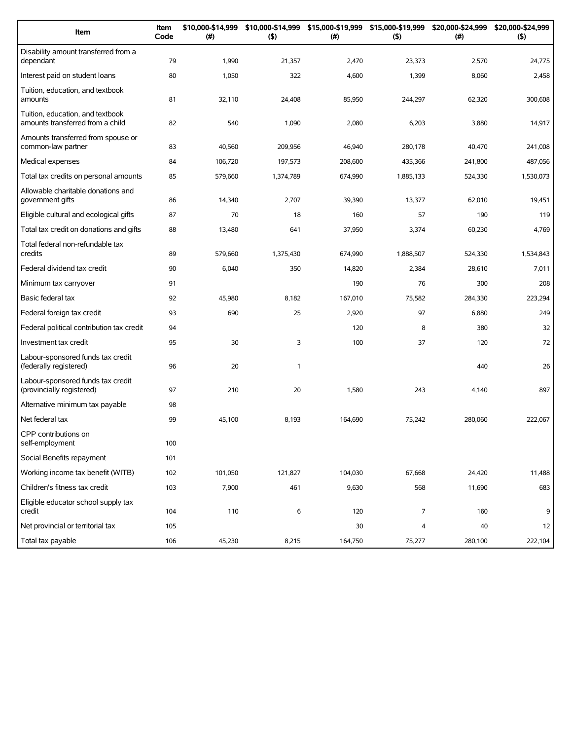| Item                                                                 | Item<br>Code | \$10,000-\$14,999<br>(#) | \$10,000-\$14,999<br>(5) | (#)     | \$15,000-\$19,999 \$15,000-\$19,999 \$20,000-\$24,999<br>(5) | (#)     | \$20,000-\$24,999<br>(5) |
|----------------------------------------------------------------------|--------------|--------------------------|--------------------------|---------|--------------------------------------------------------------|---------|--------------------------|
| Disability amount transferred from a<br>dependant                    | 79           | 1,990                    | 21,357                   | 2,470   | 23,373                                                       | 2,570   | 24,775                   |
| Interest paid on student loans                                       | 80           | 1,050                    | 322                      | 4,600   | 1,399                                                        | 8,060   | 2,458                    |
| Tuition, education, and textbook<br>amounts                          | 81           | 32,110                   | 24,408                   | 85,950  | 244,297                                                      | 62,320  | 300,608                  |
| Tuition, education, and textbook<br>amounts transferred from a child | 82           | 540                      | 1,090                    | 2,080   | 6,203                                                        | 3,880   | 14,917                   |
| Amounts transferred from spouse or<br>common-law partner             | 83           | 40,560                   | 209,956                  | 46,940  | 280,178                                                      | 40,470  | 241,008                  |
| Medical expenses                                                     | 84           | 106,720                  | 197,573                  | 208,600 | 435,366                                                      | 241,800 | 487,056                  |
| Total tax credits on personal amounts                                | 85           | 579,660                  | 1,374,789                | 674,990 | 1,885,133                                                    | 524,330 | 1,530,073                |
| Allowable charitable donations and<br>government gifts               | 86           | 14,340                   | 2,707                    | 39,390  | 13,377                                                       | 62,010  | 19,451                   |
| Eligible cultural and ecological gifts                               | 87           | 70                       | 18                       | 160     | 57                                                           | 190     | 119                      |
| Total tax credit on donations and gifts                              | 88           | 13,480                   | 641                      | 37,950  | 3,374                                                        | 60,230  | 4,769                    |
| Total federal non-refundable tax<br>credits                          | 89           | 579,660                  | 1,375,430                | 674.990 | 1,888,507                                                    | 524,330 | 1,534,843                |
| Federal dividend tax credit                                          | 90           | 6,040                    | 350                      | 14,820  | 2,384                                                        | 28,610  | 7,011                    |
| Minimum tax carryover                                                | 91           |                          |                          | 190     | 76                                                           | 300     | 208                      |
| Basic federal tax                                                    | 92           | 45,980                   | 8,182                    | 167,010 | 75,582                                                       | 284,330 | 223,294                  |
| Federal foreign tax credit                                           | 93           | 690                      | 25                       | 2,920   | 97                                                           | 6,880   | 249                      |
| Federal political contribution tax credit                            | 94           |                          |                          | 120     | 8                                                            | 380     | 32                       |
| Investment tax credit                                                | 95           | 30                       | 3                        | 100     | 37                                                           | 120     | 72                       |
| Labour-sponsored funds tax credit<br>(federally registered)          | 96           | 20                       | $\mathbf{1}$             |         |                                                              | 440     | 26                       |
| Labour-sponsored funds tax credit<br>(provincially registered)       | 97           | 210                      | 20                       | 1,580   | 243                                                          | 4,140   | 897                      |
| Alternative minimum tax payable                                      | 98           |                          |                          |         |                                                              |         |                          |
| Net federal tax                                                      | 99           | 45,100                   | 8,193                    | 164,690 | 75,242                                                       | 280,060 | 222,067                  |
| CPP contributions on<br>self-employment                              | 100          |                          |                          |         |                                                              |         |                          |
| Social Benefits repayment                                            | 101          |                          |                          |         |                                                              |         |                          |
| Working income tax benefit (WITB)                                    | 102          | 101,050                  | 121,827                  | 104,030 | 67,668                                                       | 24,420  | 11,488                   |
| Children's fitness tax credit                                        | 103          | 7,900                    | 461                      | 9,630   | 568                                                          | 11,690  | 683                      |
| Eligible educator school supply tax<br>credit                        | 104          | 110                      | 6                        | 120     | 7                                                            | 160     | 9                        |
| Net provincial or territorial tax                                    | 105          |                          |                          | 30      | 4                                                            | 40      | 12                       |
| Total tax payable                                                    | 106          | 45,230                   | 8,215                    | 164,750 | 75,277                                                       | 280,100 | 222,104                  |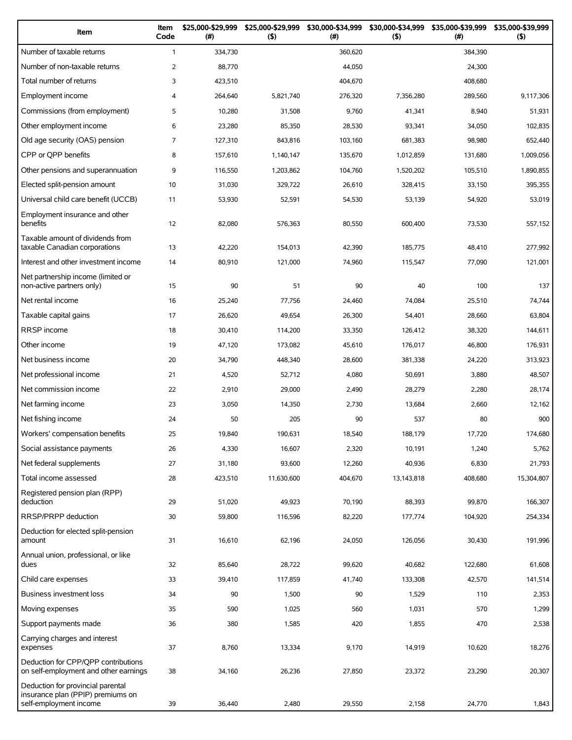| Item                                                                                             | Item<br>Code   | \$25,000-\$29,999<br>(# ) | \$25,000-\$29,999<br>(5) | \$30,000-\$34,999<br>(# ) | \$30,000-\$34,999<br>(5) | \$35,000-\$39,999<br>(#) | \$35,000-\$39,999<br>$($ \$) |
|--------------------------------------------------------------------------------------------------|----------------|---------------------------|--------------------------|---------------------------|--------------------------|--------------------------|------------------------------|
| Number of taxable returns                                                                        | $\mathbf{1}$   | 334,730                   |                          | 360,620                   |                          | 384,390                  |                              |
| Number of non-taxable returns                                                                    | $\overline{2}$ | 88,770                    |                          | 44,050                    |                          | 24,300                   |                              |
| Total number of returns                                                                          | 3              | 423,510                   |                          | 404.670                   |                          | 408,680                  |                              |
| Employment income                                                                                | 4              | 264,640                   | 5,821,740                | 276,320                   | 7,356,280                | 289,560                  | 9,117,306                    |
| Commissions (from employment)                                                                    | 5              | 10,280                    | 31,508                   | 9,760                     | 41,341                   | 8,940                    | 51,931                       |
| Other employment income                                                                          | 6              | 23,280                    | 85,350                   | 28,530                    | 93,341                   | 34,050                   | 102,835                      |
| Old age security (OAS) pension                                                                   | $\overline{7}$ | 127,310                   | 843,816                  | 103,160                   | 681.383                  | 98,980                   | 652.440                      |
| CPP or QPP benefits                                                                              | 8              | 157,610                   | 1,140,147                | 135,670                   | 1,012,859                | 131,680                  | 1,009,056                    |
| Other pensions and superannuation                                                                | 9              | 116,550                   | 1,203,862                | 104,760                   | 1,520,202                | 105,510                  | 1,890,855                    |
| Elected split-pension amount                                                                     | 10             | 31,030                    | 329,722                  | 26,610                    | 328,415                  | 33,150                   | 395,355                      |
| Universal child care benefit (UCCB)                                                              | 11             | 53,930                    | 52,591                   | 54,530                    | 53,139                   | 54,920                   | 53,019                       |
| Employment insurance and other<br>benefits                                                       | 12             | 82,080                    | 576,363                  | 80,550                    | 600,400                  | 73,530                   | 557,152                      |
| Taxable amount of dividends from<br>taxable Canadian corporations                                | 13             | 42,220                    | 154,013                  | 42,390                    | 185,775                  | 48,410                   | 277,992                      |
| Interest and other investment income                                                             | 14             | 80,910                    | 121,000                  | 74,960                    | 115,547                  | 77,090                   | 121,001                      |
| Net partnership income (limited or<br>non-active partners only)                                  | 15             | 90                        | 51                       | 90                        | 40                       | 100                      | 137                          |
| Net rental income                                                                                | 16             | 25,240                    | 77,756                   | 24,460                    | 74,084                   | 25,510                   | 74,744                       |
| Taxable capital gains                                                                            | 17             | 26,620                    | 49,654                   | 26,300                    | 54,401                   | 28,660                   | 63,804                       |
| <b>RRSP</b> income                                                                               | 18             | 30,410                    | 114,200                  | 33,350                    | 126,412                  | 38,320                   | 144,611                      |
| Other income                                                                                     | 19             | 47,120                    | 173,082                  | 45,610                    | 176,017                  | 46,800                   | 176,931                      |
| Net business income                                                                              | 20             | 34,790                    | 448,340                  | 28,600                    | 381,338                  | 24,220                   | 313,923                      |
| Net professional income                                                                          | 21             | 4,520                     | 52,712                   | 4,080                     | 50,691                   | 3,880                    | 48,507                       |
| Net commission income                                                                            | 22             | 2,910                     | 29,000                   | 2,490                     | 28,279                   | 2,280                    | 28.174                       |
| Net farming income                                                                               | 23             | 3,050                     | 14,350                   | 2,730                     | 13,684                   | 2,660                    | 12,162                       |
| Net fishing income                                                                               | 24             | 50                        | 205                      | 90                        | 537                      | 80                       | 900                          |
| Workers' compensation benefits                                                                   | 25             | 19,840                    | 190,631                  | 18,540                    | 188,179                  | 17,720                   | 174,680                      |
| Social assistance payments                                                                       | 26             | 4,330                     | 16,607                   | 2,320                     | 10,191                   | 1,240                    | 5,762                        |
| Net federal supplements                                                                          | 27             | 31,180                    | 93,600                   | 12,260                    | 40,936                   | 6,830                    | 21,793                       |
| Total income assessed                                                                            | 28             | 423,510                   | 11,630,600               | 404,670                   | 13,143,818               | 408,680                  | 15,304,807                   |
| Registered pension plan (RPP)                                                                    |                |                           |                          |                           |                          |                          |                              |
| deduction                                                                                        | 29             | 51,020                    | 49,923                   | 70,190                    | 88,393                   | 99,870                   | 166,307                      |
| RRSP/PRPP deduction                                                                              | 30             | 59,800                    | 116,596                  | 82,220                    | 177,774                  | 104,920                  | 254,334                      |
| Deduction for elected split-pension<br>amount                                                    | 31             | 16,610                    | 62,196                   | 24,050                    | 126,056                  | 30,430                   | 191,996                      |
| Annual union, professional, or like<br>dues                                                      | 32             | 85,640                    | 28,722                   | 99,620                    | 40,682                   | 122,680                  | 61,608                       |
| Child care expenses                                                                              | 33             | 39,410                    | 117,859                  | 41,740                    | 133,308                  | 42,570                   | 141,514                      |
| Business investment loss                                                                         | 34             | 90                        | 1,500                    | 90                        | 1,529                    | 110                      | 2,353                        |
| Moving expenses                                                                                  | 35             | 590                       | 1,025                    | 560                       | 1,031                    | 570                      | 1,299                        |
| Support payments made                                                                            | 36             | 380                       | 1,585                    | 420                       | 1,855                    | 470                      | 2,538                        |
| Carrying charges and interest<br>expenses                                                        | 37             | 8,760                     | 13,334                   | 9,170                     | 14,919                   | 10,620                   | 18,276                       |
| Deduction for CPP/QPP contributions<br>on self-employment and other earnings                     | 38             | 34,160                    | 26,236                   | 27,850                    | 23,372                   | 23,290                   | 20,307                       |
| Deduction for provincial parental<br>insurance plan (PPIP) premiums on<br>self-employment income | 39             | 36,440                    | 2,480                    | 29,550                    | 2,158                    | 24,770                   | 1,843                        |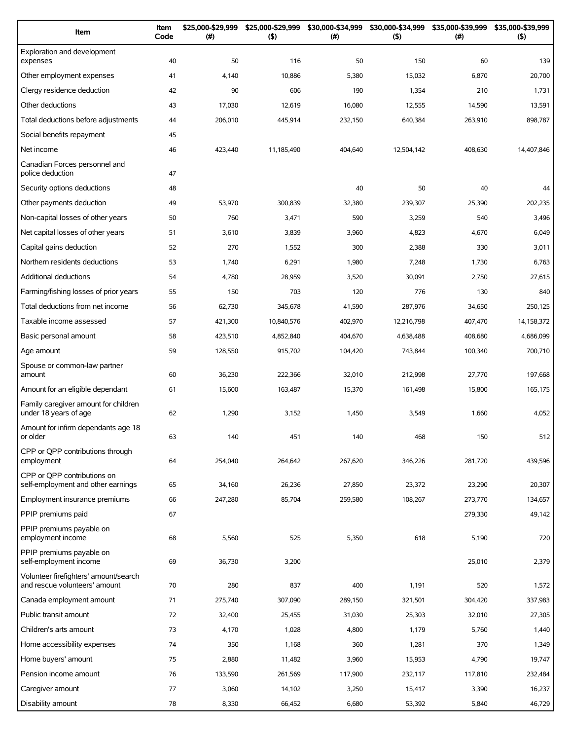| Item                                                                   | Item<br>Code | \$25,000-\$29,999<br>(#) | \$25,000-\$29,999<br>(5) | \$30,000-\$34,999<br>(#) | \$30,000-\$34,999<br>(5) | \$35,000-\$39,999<br>$(\#)$ | \$35,000-\$39,999<br>(5) |
|------------------------------------------------------------------------|--------------|--------------------------|--------------------------|--------------------------|--------------------------|-----------------------------|--------------------------|
| Exploration and development<br>expenses                                | 40           | 50                       | 116                      | 50                       | 150                      | 60                          | 139                      |
| Other employment expenses                                              | 41           | 4,140                    | 10,886                   | 5,380                    | 15,032                   | 6,870                       | 20,700                   |
| Clergy residence deduction                                             | 42           | 90                       | 606                      | 190                      | 1,354                    | 210                         | 1,731                    |
| Other deductions                                                       | 43           | 17,030                   | 12,619                   | 16,080                   | 12,555                   | 14,590                      | 13,591                   |
| Total deductions before adjustments                                    | 44           | 206,010                  | 445,914                  | 232,150                  | 640,384                  | 263,910                     | 898,787                  |
| Social benefits repayment                                              | 45           |                          |                          |                          |                          |                             |                          |
| Net income                                                             | 46           | 423,440                  | 11,185,490               | 404,640                  | 12,504,142               | 408,630                     | 14,407,846               |
| Canadian Forces personnel and<br>police deduction                      | 47           |                          |                          |                          |                          |                             |                          |
| Security options deductions                                            | 48           |                          |                          | 40                       | 50                       | 40                          | 44                       |
| Other payments deduction                                               | 49           | 53,970                   | 300,839                  | 32,380                   | 239,307                  | 25,390                      | 202,235                  |
| Non-capital losses of other years                                      | 50           | 760                      | 3,471                    | 590                      | 3,259                    | 540                         | 3,496                    |
| Net capital losses of other years                                      | 51           | 3,610                    | 3,839                    | 3,960                    | 4,823                    | 4,670                       | 6,049                    |
| Capital gains deduction                                                | 52           | 270                      | 1,552                    | 300                      | 2,388                    | 330                         | 3,011                    |
| Northern residents deductions                                          | 53           | 1,740                    | 6,291                    | 1,980                    | 7,248                    | 1,730                       | 6,763                    |
| <b>Additional deductions</b>                                           | 54           | 4,780                    | 28,959                   | 3,520                    | 30,091                   | 2,750                       | 27,615                   |
| Farming/fishing losses of prior years                                  | 55           | 150                      | 703                      | 120                      | 776                      | 130                         | 840                      |
| Total deductions from net income                                       | 56           | 62,730                   | 345,678                  | 41,590                   | 287,976                  | 34,650                      | 250,125                  |
| Taxable income assessed                                                | 57           | 421,300                  | 10,840,576               | 402,970                  | 12,216,798               | 407,470                     | 14,158,372               |
| Basic personal amount                                                  | 58           | 423,510                  | 4,852,840                | 404,670                  | 4,638,488                | 408,680                     | 4,686,099                |
| Age amount                                                             | 59           | 128,550                  | 915,702                  | 104,420                  | 743,844                  | 100,340                     | 700,710                  |
| Spouse or common-law partner<br>amount                                 | 60           | 36,230                   | 222,366                  | 32,010                   | 212,998                  | 27,770                      | 197,668                  |
| Amount for an eligible dependant                                       | 61           | 15,600                   | 163,487                  | 15,370                   | 161,498                  | 15,800                      | 165,175                  |
| Family caregiver amount for children<br>under 18 years of age          | 62           | 1,290                    | 3,152                    | 1,450                    | 3,549                    | 1,660                       | 4,052                    |
| Amount for infirm dependants age 18<br>or older                        | 63           | 140                      | 451                      | 140                      | 468                      | 150                         | 512                      |
| CPP or QPP contributions through<br>employment                         | 64           | 254,040                  | 264,642                  | 267,620                  | 346,226                  | 281,720                     | 439,596                  |
| CPP or OPP contributions on<br>self-employment and other earnings      | 65           | 34,160                   | 26,236                   | 27,850                   | 23,372                   | 23,290                      | 20,307                   |
| Employment insurance premiums                                          | 66           | 247,280                  | 85,704                   | 259,580                  | 108,267                  | 273,770                     | 134,657                  |
| PPIP premiums paid                                                     | 67           |                          |                          |                          |                          | 279,330                     | 49,142                   |
| PPIP premiums payable on<br>employment income                          | 68           | 5,560                    | 525                      | 5,350                    | 618                      | 5,190                       | 720                      |
| PPIP premiums payable on<br>self-employment income                     | 69           | 36,730                   | 3,200                    |                          |                          | 25,010                      | 2,379                    |
| Volunteer firefighters' amount/search<br>and rescue volunteers' amount | 70           | 280                      | 837                      | 400                      | 1,191                    | 520                         | 1,572                    |
| Canada employment amount                                               | 71           | 275,740                  | 307,090                  | 289,150                  | 321,501                  | 304,420                     | 337,983                  |
| Public transit amount                                                  | 72           | 32,400                   | 25,455                   | 31,030                   | 25,303                   | 32,010                      | 27,305                   |
| Children's arts amount                                                 | 73           | 4,170                    | 1,028                    | 4,800                    | 1,179                    | 5,760                       | 1,440                    |
| Home accessibility expenses                                            | 74           | 350                      | 1,168                    | 360                      | 1,281                    | 370                         | 1,349                    |
| Home buyers' amount                                                    | 75           | 2,880                    | 11,482                   | 3,960                    | 15,953                   | 4,790                       | 19,747                   |
| Pension income amount                                                  | 76           | 133,590                  | 261,569                  | 117,900                  | 232,117                  | 117,810                     | 232,484                  |
| Caregiver amount                                                       | 77           | 3,060                    | 14,102                   | 3,250                    | 15,417                   | 3,390                       | 16,237                   |
| Disability amount                                                      | 78           | 8,330                    | 66,452                   | 6,680                    | 53,392                   | 5,840                       | 46,729                   |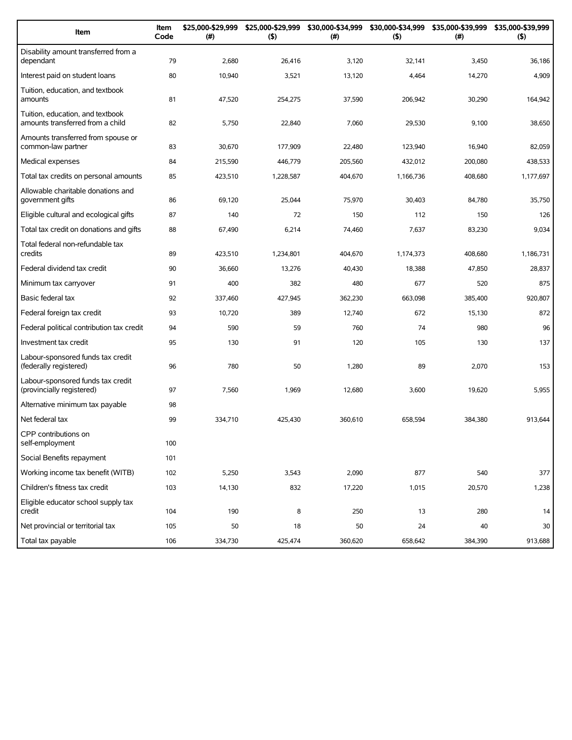| Item                                                                 | Item<br>Code | \$25,000-\$29,999<br>(#) | \$25,000-\$29,999<br>(5) | \$30,000-\$34,999<br>(#) | \$30,000-\$34,999<br>(5) | \$35,000-\$39,999<br>(#) | \$35,000-\$39,999<br>(5) |
|----------------------------------------------------------------------|--------------|--------------------------|--------------------------|--------------------------|--------------------------|--------------------------|--------------------------|
| Disability amount transferred from a<br>dependant                    | 79           | 2,680                    | 26,416                   | 3,120                    | 32,141                   | 3,450                    | 36,186                   |
| Interest paid on student loans                                       | 80           | 10,940                   | 3,521                    | 13,120                   | 4,464                    | 14,270                   | 4,909                    |
| Tuition, education, and textbook<br>amounts                          | 81           | 47,520                   | 254,275                  | 37,590                   | 206,942                  | 30,290                   | 164,942                  |
| Tuition, education, and textbook<br>amounts transferred from a child | 82           | 5,750                    | 22,840                   | 7,060                    | 29,530                   | 9,100                    | 38,650                   |
| Amounts transferred from spouse or<br>common-law partner             | 83           | 30,670                   | 177,909                  | 22,480                   | 123,940                  | 16,940                   | 82,059                   |
| Medical expenses                                                     | 84           | 215,590                  | 446,779                  | 205,560                  | 432,012                  | 200,080                  | 438,533                  |
| Total tax credits on personal amounts                                | 85           | 423,510                  | 1,228,587                | 404,670                  | 1,166,736                | 408,680                  | 1,177,697                |
| Allowable charitable donations and<br>government gifts               | 86           | 69,120                   | 25,044                   | 75,970                   | 30,403                   | 84,780                   | 35,750                   |
| Eligible cultural and ecological gifts                               | 87           | 140                      | 72                       | 150                      | 112                      | 150                      | 126                      |
| Total tax credit on donations and gifts                              | 88           | 67,490                   | 6,214                    | 74,460                   | 7,637                    | 83,230                   | 9,034                    |
| Total federal non-refundable tax<br>credits                          | 89           | 423,510                  | 1,234,801                | 404.670                  | 1,174,373                | 408,680                  | 1,186,731                |
| Federal dividend tax credit                                          | 90           | 36,660                   | 13,276                   | 40,430                   | 18,388                   | 47,850                   | 28,837                   |
| Minimum tax carryover                                                | 91           | 400                      | 382                      | 480                      | 677                      | 520                      | 875                      |
| Basic federal tax                                                    | 92           | 337,460                  | 427,945                  | 362,230                  | 663,098                  | 385,400                  | 920,807                  |
| Federal foreign tax credit                                           | 93           | 10,720                   | 389                      | 12,740                   | 672                      | 15,130                   | 872                      |
| Federal political contribution tax credit                            | 94           | 590                      | 59                       | 760                      | 74                       | 980                      | 96                       |
| Investment tax credit                                                | 95           | 130                      | 91                       | 120                      | 105                      | 130                      | 137                      |
| Labour-sponsored funds tax credit<br>(federally registered)          | 96           | 780                      | 50                       | 1,280                    | 89                       | 2,070                    | 153                      |
| Labour-sponsored funds tax credit<br>(provincially registered)       | 97           | 7,560                    | 1,969                    | 12,680                   | 3,600                    | 19,620                   | 5,955                    |
| Alternative minimum tax payable                                      | 98           |                          |                          |                          |                          |                          |                          |
| Net federal tax                                                      | 99           | 334,710                  | 425,430                  | 360,610                  | 658,594                  | 384,380                  | 913,644                  |
| CPP contributions on<br>self-employment                              | 100          |                          |                          |                          |                          |                          |                          |
| Social Benefits repayment                                            | 101          |                          |                          |                          |                          |                          |                          |
| Working income tax benefit (WITB)                                    | 102          | 5,250                    | 3,543                    | 2,090                    | 877                      | 540                      | 377                      |
| Children's fitness tax credit                                        | 103          | 14,130                   | 832                      | 17,220                   | 1,015                    | 20,570                   | 1,238                    |
| Eligible educator school supply tax<br>credit                        | 104          | 190                      | 8                        | 250                      | 13                       | 280                      | 14                       |
| Net provincial or territorial tax                                    | 105          | 50                       | 18                       | 50                       | 24                       | 40                       | 30                       |
| Total tax payable                                                    | 106          | 334,730                  | 425,474                  | 360,620                  | 658,642                  | 384,390                  | 913,688                  |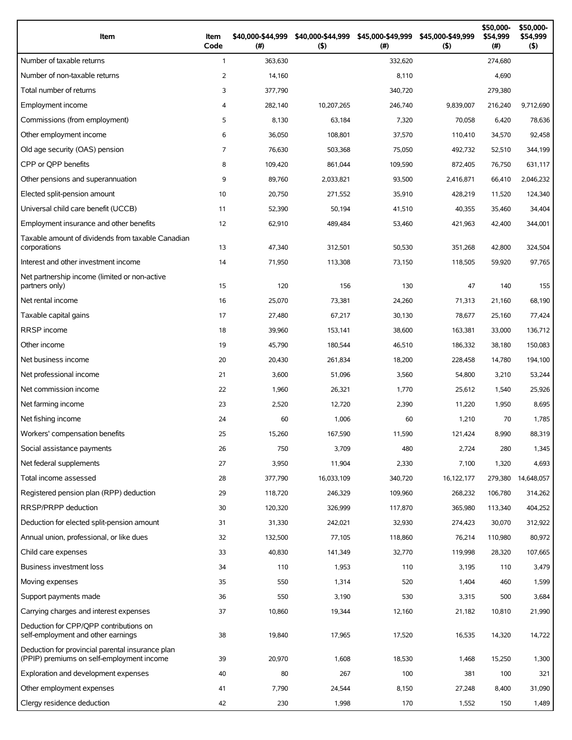| Item                                                                                          | Item<br>Code   | \$40,000-\$44,999<br>(# ) | \$40,000-\$44,999<br>$($ \$) | \$45,000-\$49,999<br>(#) | \$45,000-\$49,999<br>(5) | \$50,000-<br>\$54,999<br>(# ) | \$50,000-<br>\$54,999<br>(5) |
|-----------------------------------------------------------------------------------------------|----------------|---------------------------|------------------------------|--------------------------|--------------------------|-------------------------------|------------------------------|
| Number of taxable returns                                                                     | $\mathbf{1}$   | 363,630                   |                              | 332,620                  |                          | 274,680                       |                              |
| Number of non-taxable returns                                                                 | $\overline{2}$ | 14,160                    |                              | 8,110                    |                          | 4,690                         |                              |
| Total number of returns                                                                       | 3              | 377,790                   |                              | 340,720                  |                          | 279,380                       |                              |
| Employment income                                                                             | 4              | 282,140                   | 10,207,265                   | 246,740                  | 9,839,007                | 216,240                       | 9,712,690                    |
| Commissions (from employment)                                                                 | 5              | 8,130                     | 63,184                       | 7,320                    | 70,058                   | 6,420                         | 78,636                       |
| Other employment income                                                                       | 6              | 36,050                    | 108,801                      | 37,570                   | 110,410                  | 34,570                        | 92,458                       |
| Old age security (OAS) pension                                                                | 7              | 76,630                    | 503.368                      | 75,050                   | 492,732                  | 52,510                        | 344.199                      |
| CPP or OPP benefits                                                                           | 8              | 109,420                   | 861,044                      | 109,590                  | 872,405                  | 76,750                        | 631,117                      |
| Other pensions and superannuation                                                             | 9              | 89,760                    | 2,033,821                    | 93,500                   | 2,416,871                | 66,410                        | 2,046,232                    |
| Elected split-pension amount                                                                  | 10             | 20,750                    | 271,552                      | 35,910                   | 428,219                  | 11,520                        | 124,340                      |
| Universal child care benefit (UCCB)                                                           | 11             | 52,390                    | 50,194                       | 41,510                   | 40,355                   | 35,460                        | 34,404                       |
| Employment insurance and other benefits                                                       | 12             | 62,910                    | 489,484                      | 53,460                   | 421,963                  | 42,400                        | 344,001                      |
| Taxable amount of dividends from taxable Canadian<br>corporations                             | 13             | 47,340                    | 312,501                      | 50,530                   | 351,268                  | 42,800                        | 324,504                      |
| Interest and other investment income                                                          | 14             | 71,950                    | 113,308                      | 73,150                   | 118,505                  | 59,920                        | 97,765                       |
| Net partnership income (limited or non-active<br>partners only)                               | 15             | 120                       | 156                          | 130                      | 47                       | 140                           | 155                          |
| Net rental income                                                                             | 16             | 25,070                    | 73,381                       | 24,260                   | 71,313                   | 21,160                        | 68,190                       |
| Taxable capital gains                                                                         | 17             | 27,480                    | 67,217                       | 30,130                   | 78,677                   | 25,160                        | 77,424                       |
| RRSP income                                                                                   | 18             | 39,960                    | 153,141                      | 38,600                   | 163,381                  | 33,000                        | 136,712                      |
| Other income                                                                                  | 19             | 45,790                    | 180,544                      | 46,510                   | 186,332                  | 38,180                        | 150,083                      |
| Net business income                                                                           | 20             | 20,430                    | 261,834                      | 18,200                   | 228,458                  | 14,780                        | 194,100                      |
| Net professional income                                                                       | 21             | 3,600                     | 51,096                       | 3,560                    | 54,800                   | 3,210                         | 53,244                       |
| Net commission income                                                                         | 22             | 1,960                     | 26,321                       | 1,770                    | 25,612                   | 1,540                         | 25,926                       |
| Net farming income                                                                            | 23             | 2,520                     | 12,720                       | 2,390                    | 11,220                   | 1,950                         | 8,695                        |
| Net fishing income                                                                            | 24             | 60                        | 1,006                        | 60                       | 1,210                    | 70                            | 1,785                        |
| Workers' compensation benefits                                                                | 25             | 15,260                    | 167,590                      | 11,590                   | 121,424                  | 8,990                         | 88,319                       |
| Social assistance payments                                                                    | 26             | 750                       | 3,709                        | 480                      | 2,724                    | 280                           | 1,345                        |
| Net federal supplements                                                                       | 27             | 3,950                     | 11,904                       | 2,330                    | 7,100                    | 1,320                         | 4,693                        |
| Total income assessed                                                                         | 28             | 377,790                   | 16,033,109                   | 340,720                  | 16,122,177               | 279,380                       | 14,648,057                   |
| Registered pension plan (RPP) deduction                                                       | 29             | 118,720                   | 246,329                      | 109,960                  | 268,232                  | 106,780                       | 314,262                      |
| RRSP/PRPP deduction                                                                           | 30             | 120,320                   | 326,999                      | 117,870                  | 365,980                  | 113,340                       | 404,252                      |
| Deduction for elected split-pension amount                                                    | 31             | 31,330                    | 242,021                      | 32,930                   | 274,423                  | 30,070                        | 312,922                      |
| Annual union, professional, or like dues                                                      | 32             | 132,500                   | 77,105                       | 118,860                  | 76,214                   | 110,980                       | 80,972                       |
| Child care expenses                                                                           | 33             | 40,830                    | 141,349                      | 32,770                   | 119,998                  | 28,320                        | 107,665                      |
| <b>Business investment loss</b>                                                               | 34             | 110                       | 1,953                        | 110                      | 3,195                    | 110                           | 3,479                        |
| Moving expenses                                                                               | 35             | 550                       | 1,314                        | 520                      | 1,404                    | 460                           | 1,599                        |
| Support payments made                                                                         | 36             | 550                       | 3,190                        | 530                      | 3,315                    | 500                           | 3,684                        |
| Carrying charges and interest expenses                                                        | 37             | 10,860                    | 19,344                       | 12,160                   | 21,182                   | 10,810                        | 21,990                       |
| Deduction for CPP/QPP contributions on<br>self-employment and other earnings                  | 38             | 19,840                    | 17,965                       | 17,520                   | 16,535                   | 14,320                        | 14,722                       |
| Deduction for provincial parental insurance plan<br>(PPIP) premiums on self-employment income | 39             | 20,970                    | 1,608                        | 18,530                   | 1,468                    | 15,250                        | 1,300                        |
| Exploration and development expenses                                                          | 40             | 80                        | 267                          | 100                      | 381                      | 100                           | 321                          |
| Other employment expenses                                                                     | 41             | 7,790                     | 24,544                       | 8,150                    | 27,248                   | 8,400                         | 31,090                       |
| Clergy residence deduction                                                                    | 42             | 230                       | 1,998                        | 170                      | 1,552                    | 150                           | 1,489                        |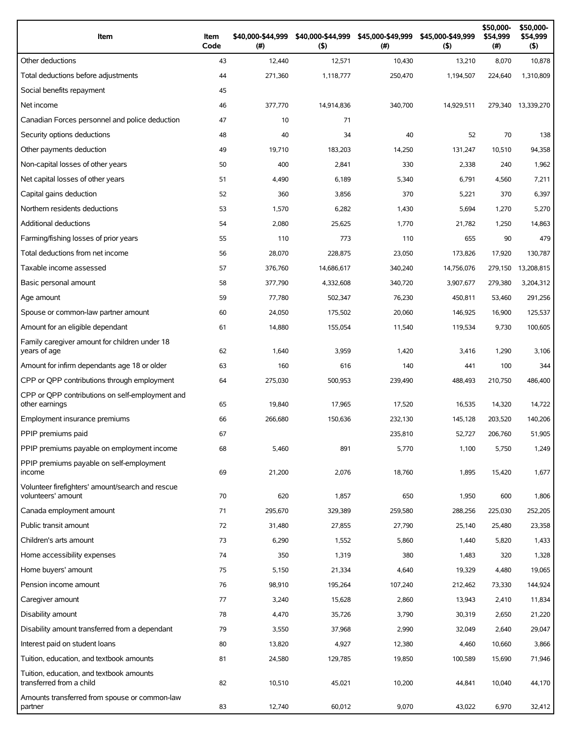| Item                                                                   | Item<br>Code | \$40,000-\$44,999<br>$(\#)$ | \$40,000-\$44,999<br>(5) | \$45,000-\$49,999<br>(# ) | \$45,000-\$49,999<br>$($ \$) | \$50,000-<br>\$54,999<br>(# ) | \$50,000-<br>\$54,999<br>$($ \$) |
|------------------------------------------------------------------------|--------------|-----------------------------|--------------------------|---------------------------|------------------------------|-------------------------------|----------------------------------|
| Other deductions                                                       | 43           | 12,440                      | 12,571                   | 10,430                    | 13,210                       | 8,070                         | 10,878                           |
| Total deductions before adjustments                                    | 44           | 271,360                     | 1,118,777                | 250.470                   | 1.194.507                    | 224,640                       | 1,310,809                        |
| Social benefits repayment                                              | 45           |                             |                          |                           |                              |                               |                                  |
| Net income                                                             | 46           | 377,770                     | 14,914,836               | 340,700                   | 14,929,511                   |                               | 279,340 13,339,270               |
| Canadian Forces personnel and police deduction                         | 47           | 10                          | 71                       |                           |                              |                               |                                  |
| Security options deductions                                            | 48           | 40                          | 34                       | 40                        | 52                           | 70                            | 138                              |
| Other payments deduction                                               | 49           | 19,710                      | 183,203                  | 14,250                    | 131,247                      | 10,510                        | 94,358                           |
| Non-capital losses of other years                                      | 50           | 400                         | 2,841                    | 330                       | 2,338                        | 240                           | 1,962                            |
| Net capital losses of other years                                      | 51           | 4,490                       | 6,189                    | 5,340                     | 6,791                        | 4,560                         | 7,211                            |
| Capital gains deduction                                                | 52           | 360                         | 3,856                    | 370                       | 5,221                        | 370                           | 6,397                            |
| Northern residents deductions                                          | 53           | 1,570                       | 6,282                    | 1,430                     | 5,694                        | 1,270                         | 5,270                            |
| Additional deductions                                                  | 54           | 2,080                       | 25,625                   | 1,770                     | 21,782                       | 1,250                         | 14,863                           |
| Farming/fishing losses of prior years                                  | 55           | 110                         | 773                      | 110                       | 655                          | 90                            | 479                              |
| Total deductions from net income                                       | 56           | 28,070                      | 228,875                  | 23,050                    | 173,826                      | 17,920                        | 130,787                          |
| Taxable income assessed                                                | 57           | 376,760                     | 14,686,617               | 340,240                   | 14,756,076                   | 279,150                       | 13,208,815                       |
| Basic personal amount                                                  | 58           | 377,790                     | 4,332,608                | 340,720                   | 3,907,677                    | 279,380                       | 3,204,312                        |
| Age amount                                                             | 59           | 77,780                      | 502,347                  | 76,230                    | 450,811                      | 53,460                        | 291,256                          |
| Spouse or common-law partner amount                                    | 60           | 24,050                      | 175,502                  | 20,060                    | 146,925                      | 16,900                        | 125,537                          |
| Amount for an eligible dependant                                       | 61           | 14,880                      | 155,054                  | 11,540                    | 119,534                      | 9,730                         | 100,605                          |
| Family caregiver amount for children under 18<br>years of age          | 62           | 1,640                       | 3,959                    | 1,420                     | 3,416                        | 1,290                         | 3,106                            |
| Amount for infirm dependants age 18 or older                           | 63           | 160                         | 616                      | 140                       | 441                          | 100                           | 344                              |
| CPP or QPP contributions through employment                            | 64           | 275,030                     | 500,953                  | 239,490                   | 488,493                      | 210,750                       | 486,400                          |
| CPP or QPP contributions on self-employment and<br>other earnings      | 65           | 19,840                      | 17,965                   | 17,520                    | 16,535                       | 14,320                        | 14,722                           |
| Employment insurance premiums                                          | 66           | 266,680                     | 150,636                  | 232,130                   | 145,128                      | 203,520                       | 140,206                          |
| PPIP premiums paid                                                     | 67           |                             |                          | 235,810                   | 52,727                       | 206,760                       | 51,905                           |
| PPIP premiums payable on employment income                             | 68           | 5,460                       | 891                      | 5,770                     | 1,100                        | 5,750                         | 1,249                            |
| PPIP premiums payable on self-employment<br>income                     | 69           | 21,200                      | 2,076                    | 18,760                    | 1,895                        | 15,420                        | 1,677                            |
| Volunteer firefighters' amount/search and rescue<br>volunteers' amount | 70           | 620                         | 1,857                    | 650                       | 1,950                        | 600                           | 1,806                            |
| Canada employment amount                                               | 71           | 295,670                     | 329,389                  | 259,580                   | 288,256                      | 225,030                       | 252,205                          |
| Public transit amount                                                  | 72           | 31,480                      | 27,855                   | 27,790                    | 25,140                       | 25,480                        | 23,358                           |
| Children's arts amount                                                 | 73           | 6,290                       | 1,552                    | 5,860                     | 1,440                        | 5,820                         | 1,433                            |
| Home accessibility expenses                                            | 74           | 350                         | 1,319                    | 380                       | 1,483                        | 320                           | 1,328                            |
| Home buyers' amount                                                    | 75           | 5,150                       | 21,334                   | 4,640                     | 19,329                       | 4,480                         | 19,065                           |
| Pension income amount                                                  | 76           | 98,910                      | 195,264                  | 107,240                   | 212,462                      | 73,330                        | 144,924                          |
| Caregiver amount                                                       | 77           | 3,240                       | 15,628                   | 2,860                     | 13,943                       | 2,410                         | 11,834                           |
| Disability amount                                                      | 78           | 4,470                       | 35,726                   | 3,790                     | 30,319                       | 2,650                         | 21,220                           |
| Disability amount transferred from a dependant                         | 79           | 3,550                       | 37,968                   | 2,990                     | 32,049                       | 2,640                         | 29,047                           |
| Interest paid on student loans                                         | 80           | 13,820                      | 4,927                    | 12,380                    | 4,460                        | 10,660                        | 3,866                            |
| Tuition, education, and textbook amounts                               | 81           | 24,580                      | 129,785                  | 19,850                    | 100,589                      | 15,690                        | 71,946                           |
| Tuition, education, and textbook amounts<br>transferred from a child   | 82           | 10,510                      | 45,021                   | 10,200                    | 44,841                       | 10,040                        | 44,170                           |
| Amounts transferred from spouse or common-law<br>partner               | 83           | 12,740                      | 60,012                   | 9,070                     | 43,022                       | 6,970                         | 32,412                           |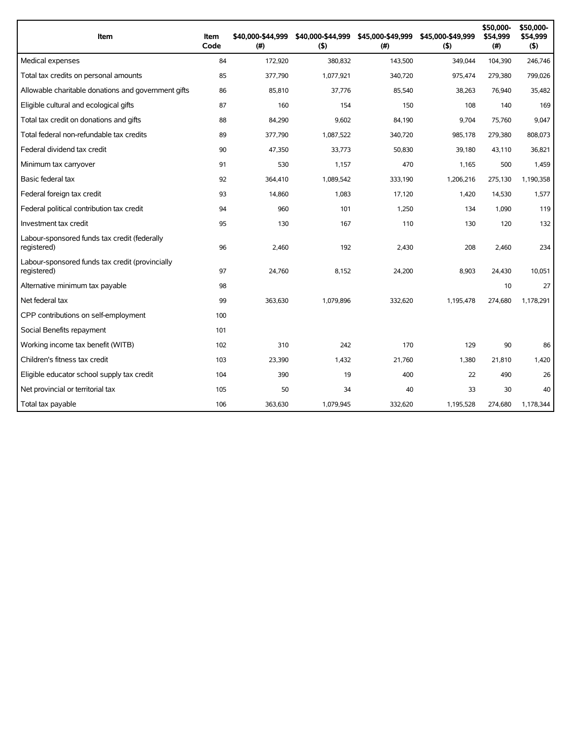| Item                                                           | Item<br>Code | \$40,000-\$44,999<br>(# ) | \$40,000-\$44,999<br>(5) | \$45,000-\$49,999<br>(#) | \$45,000-\$49,999<br>(5) | \$50,000-<br>\$54,999<br>(# ) | \$50,000-<br>\$54,999<br>$($ \$) |
|----------------------------------------------------------------|--------------|---------------------------|--------------------------|--------------------------|--------------------------|-------------------------------|----------------------------------|
| Medical expenses                                               | 84           | 172,920                   | 380,832                  | 143,500                  | 349,044                  | 104,390                       | 246,746                          |
| Total tax credits on personal amounts                          | 85           | 377,790                   | 1,077,921                | 340,720                  | 975,474                  | 279,380                       | 799,026                          |
| Allowable charitable donations and government gifts            | 86           | 85,810                    | 37,776                   | 85,540                   | 38,263                   | 76,940                        | 35,482                           |
| Eligible cultural and ecological gifts                         | 87           | 160                       | 154                      | 150                      | 108                      | 140                           | 169                              |
| Total tax credit on donations and gifts                        | 88           | 84,290                    | 9,602                    | 84,190                   | 9,704                    | 75,760                        | 9,047                            |
| Total federal non-refundable tax credits                       | 89           | 377,790                   | 1,087,522                | 340,720                  | 985,178                  | 279,380                       | 808,073                          |
| Federal dividend tax credit                                    | 90           | 47,350                    | 33,773                   | 50.830                   | 39.180                   | 43.110                        | 36.821                           |
| Minimum tax carryover                                          | 91           | 530                       | 1.157                    | 470                      | 1.165                    | 500                           | 1.459                            |
| Basic federal tax                                              | 92           | 364,410                   | 1,089,542                | 333,190                  | 1,206,216                | 275,130                       | 1,190,358                        |
| Federal foreign tax credit                                     | 93           | 14,860                    | 1,083                    | 17,120                   | 1,420                    | 14,530                        | 1,577                            |
| Federal political contribution tax credit                      | 94           | 960                       | 101                      | 1,250                    | 134                      | 1,090                         | 119                              |
| Investment tax credit                                          | 95           | 130                       | 167                      | 110                      | 130                      | 120                           | 132                              |
| Labour-sponsored funds tax credit (federally<br>registered)    | 96           | 2,460                     | 192                      | 2,430                    | 208                      | 2,460                         | 234                              |
| Labour-sponsored funds tax credit (provincially<br>registered) | 97           | 24,760                    | 8,152                    | 24,200                   | 8,903                    | 24,430                        | 10,051                           |
| Alternative minimum tax payable                                | 98           |                           |                          |                          |                          | 10                            | 27                               |
| Net federal tax                                                | 99           | 363,630                   | 1,079,896                | 332,620                  | 1,195,478                | 274,680                       | 1,178,291                        |
| CPP contributions on self-employment                           | 100          |                           |                          |                          |                          |                               |                                  |
| Social Benefits repayment                                      | 101          |                           |                          |                          |                          |                               |                                  |
| Working income tax benefit (WITB)                              | 102          | 310                       | 242                      | 170                      | 129                      | 90                            | 86                               |
| Children's fitness tax credit                                  | 103          | 23,390                    | 1,432                    | 21,760                   | 1,380                    | 21,810                        | 1,420                            |
| Eligible educator school supply tax credit                     | 104          | 390                       | 19                       | 400                      | 22                       | 490                           | 26                               |
| Net provincial or territorial tax                              | 105          | 50                        | 34                       | 40                       | 33                       | 30                            | 40                               |
| Total tax payable                                              | 106          | 363,630                   | 1,079,945                | 332,620                  | 1,195,528                | 274,680                       | 1,178,344                        |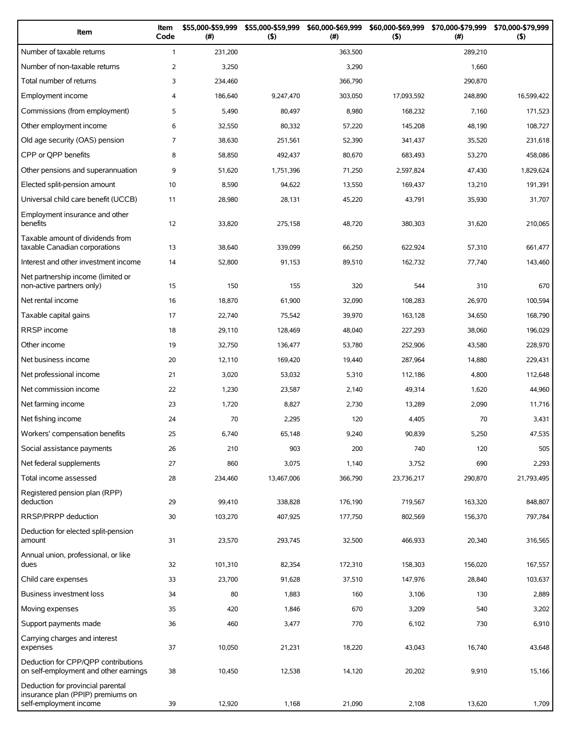| Item                                                                                             | Item<br>Code   | \$55,000-\$59,999<br>(#) | \$55,000-\$59,999<br>(5) | \$60,000-\$69,999<br>$($ #) | \$60,000-\$69,999<br>(5) | \$70,000-\$79,999<br>(# ) | \$70,000-\$79,999<br>(5) |
|--------------------------------------------------------------------------------------------------|----------------|--------------------------|--------------------------|-----------------------------|--------------------------|---------------------------|--------------------------|
| Number of taxable returns                                                                        | $\mathbf{1}$   | 231,200                  |                          | 363,500                     |                          | 289,210                   |                          |
| Number of non-taxable returns                                                                    | $\overline{2}$ | 3,250                    |                          | 3,290                       |                          | 1,660                     |                          |
| Total number of returns                                                                          | 3              | 234,460                  |                          | 366,790                     |                          | 290,870                   |                          |
| Employment income                                                                                | 4              | 186,640                  | 9,247,470                | 303,050                     | 17,093,592               | 248,890                   | 16,599,422               |
| Commissions (from employment)                                                                    | 5              | 5,490                    | 80,497                   | 8,980                       | 168,232                  | 7,160                     | 171,523                  |
| Other employment income                                                                          | 6              | 32,550                   | 80,332                   | 57,220                      | 145,208                  | 48,190                    | 108,727                  |
| Old age security (OAS) pension                                                                   | $\overline{7}$ | 38,630                   | 251,561                  | 52,390                      | 341,437                  | 35,520                    | 231,618                  |
| CPP or QPP benefits                                                                              | 8              | 58,850                   | 492,437                  | 80,670                      | 683,493                  | 53,270                    | 458,086                  |
| Other pensions and superannuation                                                                | 9              | 51,620                   | 1,751,396                | 71,250                      | 2,597,824                | 47,430                    | 1,829,624                |
| Elected split-pension amount                                                                     | 10             | 8,590                    | 94,622                   | 13,550                      | 169,437                  | 13,210                    | 191,391                  |
| Universal child care benefit (UCCB)                                                              | 11             | 28,980                   | 28,131                   | 45,220                      | 43,791                   | 35,930                    | 31,707                   |
| Employment insurance and other<br>benefits                                                       | 12             | 33,820                   | 275,158                  | 48,720                      | 380,303                  | 31,620                    | 210,065                  |
| Taxable amount of dividends from<br>taxable Canadian corporations                                | 13             | 38,640                   | 339,099                  | 66,250                      | 622,924                  | 57,310                    | 661,477                  |
| Interest and other investment income                                                             | 14             | 52,800                   | 91,153                   | 89,510                      | 162,732                  | 77,740                    | 143,460                  |
| Net partnership income (limited or<br>non-active partners only)                                  | 15             | 150                      | 155                      | 320                         | 544                      | 310                       | 670                      |
| Net rental income                                                                                | 16             | 18,870                   | 61,900                   | 32,090                      | 108,283                  | 26,970                    | 100,594                  |
| Taxable capital gains                                                                            | 17             | 22,740                   | 75,542                   | 39,970                      | 163,128                  | 34,650                    | 168,790                  |
| RRSP income                                                                                      | 18             | 29,110                   | 128,469                  | 48,040                      | 227,293                  | 38,060                    | 196,029                  |
| Other income                                                                                     | 19             | 32,750                   | 136,477                  | 53,780                      | 252,906                  | 43,580                    | 228,970                  |
| Net business income                                                                              | 20             | 12,110                   | 169,420                  | 19,440                      | 287,964                  | 14,880                    | 229,431                  |
| Net professional income                                                                          | 21             | 3,020                    | 53,032                   | 5,310                       | 112,186                  | 4,800                     | 112,648                  |
| Net commission income                                                                            | 22             | 1,230                    | 23,587                   | 2,140                       | 49,314                   | 1,620                     | 44,960                   |
| Net farming income                                                                               | 23             | 1,720                    | 8,827                    | 2,730                       | 13,289                   | 2,090                     | 11,716                   |
| Net fishing income                                                                               | 24             | 70                       | 2,295                    | 120                         | 4,405                    | 70                        | 3,431                    |
| Workers' compensation benefits                                                                   | 25             | 6,740                    | 65,148                   | 9,240                       | 90,839                   | 5,250                     | 47,535                   |
| Social assistance payments                                                                       | 26             | 210                      | 903                      | 200                         | 740                      | 120                       | 505                      |
| Net federal supplements                                                                          | 27             | 860                      | 3,075                    | 1,140                       | 3,752                    | 690                       | 2,293                    |
| Total income assessed                                                                            | 28             | 234,460                  | 13,467,006               | 366,790                     | 23,736,217               | 290,870                   | 21,793,495               |
| Registered pension plan (RPP)<br>deduction                                                       | 29             | 99,410                   | 338,828                  | 176,190                     | 719,567                  | 163,320                   | 848,807                  |
| RRSP/PRPP deduction                                                                              | 30             | 103,270                  | 407,925                  | 177,750                     | 802,569                  | 156,370                   | 797,784                  |
| Deduction for elected split-pension<br>amount                                                    | 31             | 23,570                   | 293,745                  | 32,500                      | 466,933                  | 20,340                    | 316,565                  |
| Annual union, professional, or like<br>dues                                                      | 32             | 101,310                  | 82,354                   | 172,310                     | 158,303                  | 156,020                   | 167,557                  |
| Child care expenses                                                                              | 33             | 23,700                   | 91,628                   | 37,510                      | 147,976                  | 28,840                    | 103,637                  |
| Business investment loss                                                                         | 34             | 80                       | 1,883                    | 160                         | 3,106                    | 130                       | 2,889                    |
| Moving expenses                                                                                  | 35             | 420                      | 1,846                    | 670                         | 3,209                    | 540                       | 3,202                    |
| Support payments made                                                                            | 36             | 460                      | 3,477                    | 770                         | 6,102                    | 730                       | 6,910                    |
| Carrying charges and interest<br>expenses                                                        | 37             | 10,050                   | 21,231                   | 18,220                      | 43,043                   | 16,740                    | 43,648                   |
| Deduction for CPP/QPP contributions<br>on self-employment and other earnings                     | 38             | 10,450                   | 12,538                   | 14,120                      | 20,202                   | 9,910                     | 15,166                   |
| Deduction for provincial parental<br>insurance plan (PPIP) premiums on<br>self-employment income | 39             | 12,920                   | 1,168                    | 21,090                      | 2,108                    | 13,620                    | 1,709                    |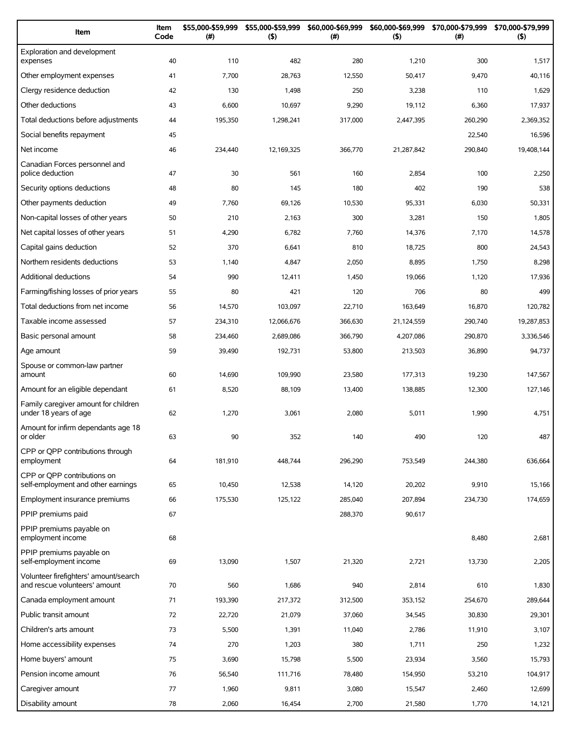| Item                                                                   | Item<br>Code | \$55,000-\$59,999<br>(#) | \$55,000-\$59,999<br>(5) | \$60,000-\$69,999<br>(#) | \$60,000-\$69,999<br>(5) | \$70,000-\$79,999<br>$(\#)$ | \$70,000-\$79,999<br>(5) |
|------------------------------------------------------------------------|--------------|--------------------------|--------------------------|--------------------------|--------------------------|-----------------------------|--------------------------|
| Exploration and development<br>expenses                                | 40           | 110                      | 482                      | 280                      | 1,210                    | 300                         | 1,517                    |
| Other employment expenses                                              | 41           | 7,700                    | 28,763                   | 12,550                   | 50,417                   | 9,470                       | 40,116                   |
| Clergy residence deduction                                             | 42           | 130                      | 1,498                    | 250                      | 3,238                    | 110                         | 1,629                    |
| Other deductions                                                       | 43           | 6,600                    | 10,697                   | 9,290                    | 19,112                   | 6,360                       | 17,937                   |
| Total deductions before adjustments                                    | 44           | 195,350                  | 1,298,241                | 317,000                  | 2,447,395                | 260,290                     | 2,369,352                |
| Social benefits repayment                                              | 45           |                          |                          |                          |                          | 22,540                      | 16,596                   |
| Net income                                                             | 46           | 234,440                  | 12,169,325               | 366,770                  | 21,287,842               | 290,840                     | 19,408,144               |
| Canadian Forces personnel and<br>police deduction                      | 47           | 30                       | 561                      | 160                      | 2,854                    | 100                         | 2,250                    |
| Security options deductions                                            | 48           | 80                       | 145                      | 180                      | 402                      | 190                         | 538                      |
| Other payments deduction                                               | 49           | 7,760                    | 69,126                   | 10,530                   | 95,331                   | 6,030                       | 50,331                   |
| Non-capital losses of other years                                      | 50           | 210                      | 2,163                    | 300                      | 3,281                    | 150                         | 1,805                    |
| Net capital losses of other years                                      | 51           | 4,290                    | 6,782                    | 7,760                    | 14,376                   | 7,170                       | 14,578                   |
| Capital gains deduction                                                | 52           | 370                      | 6,641                    | 810                      | 18,725                   | 800                         | 24,543                   |
| Northern residents deductions                                          | 53           | 1,140                    | 4,847                    | 2,050                    | 8,895                    | 1,750                       | 8,298                    |
| <b>Additional deductions</b>                                           | 54           | 990                      | 12,411                   | 1,450                    | 19,066                   | 1,120                       | 17,936                   |
| Farming/fishing losses of prior years                                  | 55           | 80                       | 421                      | 120                      | 706                      | 80                          | 499                      |
| Total deductions from net income                                       | 56           | 14,570                   | 103,097                  | 22,710                   | 163,649                  | 16,870                      | 120,782                  |
| Taxable income assessed                                                | 57           | 234,310                  | 12,066,676               | 366,630                  | 21,124,559               | 290,740                     | 19,287,853               |
| Basic personal amount                                                  | 58           | 234,460                  | 2,689,086                | 366,790                  | 4,207,086                | 290,870                     | 3,336,546                |
| Age amount                                                             | 59           | 39,490                   | 192,731                  | 53,800                   | 213,503                  | 36,890                      | 94,737                   |
| Spouse or common-law partner<br>amount                                 | 60           | 14,690                   | 109,990                  | 23,580                   | 177,313                  | 19,230                      | 147,567                  |
| Amount for an eligible dependant                                       | 61           | 8,520                    | 88,109                   | 13,400                   | 138,885                  | 12,300                      | 127,146                  |
| Family caregiver amount for children<br>under 18 years of age          | 62           | 1,270                    | 3,061                    | 2,080                    | 5,011                    | 1,990                       | 4,751                    |
| Amount for infirm dependants age 18<br>or older                        | 63           | 90                       | 352                      | 140                      | 490                      | 120                         | 487                      |
| CPP or QPP contributions through<br>employment                         | 64           | 181,910                  | 448,744                  | 296,290                  | 753,549                  | 244,380                     | 636,664                  |
| CPP or OPP contributions on<br>self-employment and other earnings      | 65           | 10,450                   | 12,538                   | 14,120                   | 20,202                   | 9,910                       | 15,166                   |
| Employment insurance premiums                                          | 66           | 175,530                  | 125,122                  | 285,040                  | 207,894                  | 234,730                     | 174,659                  |
| PPIP premiums paid                                                     | 67           |                          |                          | 288,370                  | 90,617                   |                             |                          |
| PPIP premiums payable on<br>employment income                          | 68           |                          |                          |                          |                          | 8,480                       | 2,681                    |
| PPIP premiums payable on<br>self-employment income                     | 69           | 13,090                   | 1,507                    | 21,320                   | 2,721                    | 13,730                      | 2,205                    |
| Volunteer firefighters' amount/search<br>and rescue volunteers' amount | 70           | 560                      | 1,686                    | 940                      | 2,814                    | 610                         | 1,830                    |
| Canada employment amount                                               | 71           | 193,390                  | 217,372                  | 312,500                  | 353,152                  | 254,670                     | 289,644                  |
| Public transit amount                                                  | 72           | 22,720                   | 21,079                   | 37,060                   | 34,545                   | 30,830                      | 29,301                   |
| Children's arts amount                                                 | 73           | 5,500                    | 1,391                    | 11,040                   | 2,786                    | 11,910                      | 3,107                    |
| Home accessibility expenses                                            | 74           | 270                      | 1,203                    | 380                      | 1,711                    | 250                         | 1,232                    |
| Home buyers' amount                                                    | 75           | 3,690                    | 15,798                   | 5,500                    | 23,934                   | 3,560                       | 15,793                   |
| Pension income amount                                                  | 76           | 56,540                   | 111,716                  | 78,480                   | 154,950                  | 53,210                      | 104,917                  |
| Caregiver amount                                                       | 77           | 1,960                    | 9,811                    | 3,080                    | 15,547                   | 2,460                       | 12,699                   |
| Disability amount                                                      | 78           | 2,060                    | 16,454                   | 2,700                    | 21,580                   | 1,770                       | 14,121                   |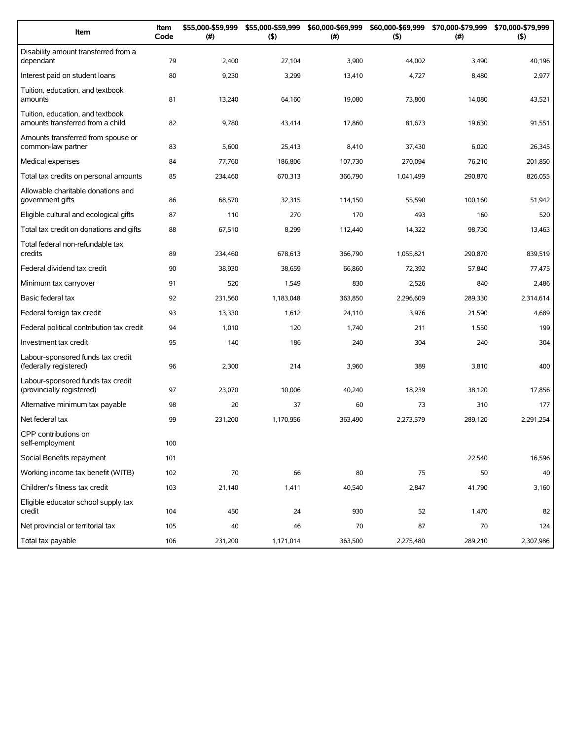| Item                                                                 | Item<br>Code | \$55,000-\$59,999<br>(#) | \$55,000-\$59,999<br>(5) | \$60,000-\$69,999<br>(#) | (5)       | \$60,000-\$69,999 \$70,000-\$79,999<br>$(\#)$ | \$70,000-\$79,999<br>(5) |
|----------------------------------------------------------------------|--------------|--------------------------|--------------------------|--------------------------|-----------|-----------------------------------------------|--------------------------|
| Disability amount transferred from a<br>dependant                    | 79           | 2,400                    | 27,104                   | 3,900                    | 44,002    | 3,490                                         | 40,196                   |
| Interest paid on student loans                                       | 80           | 9,230                    | 3,299                    | 13,410                   | 4,727     | 8,480                                         | 2,977                    |
| Tuition, education, and textbook<br>amounts                          | 81           | 13,240                   | 64,160                   | 19,080                   | 73,800    | 14,080                                        | 43,521                   |
| Tuition, education, and textbook<br>amounts transferred from a child | 82           | 9,780                    | 43,414                   | 17,860                   | 81,673    | 19,630                                        | 91,551                   |
| Amounts transferred from spouse or<br>common-law partner             | 83           | 5,600                    | 25,413                   | 8,410                    | 37,430    | 6,020                                         | 26,345                   |
| Medical expenses                                                     | 84           | 77,760                   | 186,806                  | 107,730                  | 270,094   | 76,210                                        | 201,850                  |
| Total tax credits on personal amounts                                | 85           | 234,460                  | 670,313                  | 366,790                  | 1,041,499 | 290,870                                       | 826,055                  |
| Allowable charitable donations and<br>government gifts               | 86           | 68,570                   | 32,315                   | 114,150                  | 55,590    | 100,160                                       | 51,942                   |
| Eligible cultural and ecological gifts                               | 87           | 110                      | 270                      | 170                      | 493       | 160                                           | 520                      |
| Total tax credit on donations and gifts                              | 88           | 67,510                   | 8,299                    | 112,440                  | 14,322    | 98,730                                        | 13,463                   |
| Total federal non-refundable tax<br>credits                          | 89           | 234,460                  | 678,613                  | 366,790                  | 1,055,821 | 290,870                                       | 839.519                  |
| Federal dividend tax credit                                          | 90           | 38,930                   | 38,659                   | 66,860                   | 72,392    | 57,840                                        | 77,475                   |
| Minimum tax carryover                                                | 91           | 520                      | 1,549                    | 830                      | 2,526     | 840                                           | 2,486                    |
| Basic federal tax                                                    | 92           | 231,560                  | 1,183,048                | 363,850                  | 2,296,609 | 289,330                                       | 2,314,614                |
| Federal foreign tax credit                                           | 93           | 13,330                   | 1,612                    | 24,110                   | 3,976     | 21,590                                        | 4,689                    |
| Federal political contribution tax credit                            | 94           | 1,010                    | 120                      | 1,740                    | 211       | 1,550                                         | 199                      |
| Investment tax credit                                                | 95           | 140                      | 186                      | 240                      | 304       | 240                                           | 304                      |
| Labour-sponsored funds tax credit<br>(federally registered)          | 96           | 2,300                    | 214                      | 3,960                    | 389       | 3,810                                         | 400                      |
| Labour-sponsored funds tax credit<br>(provincially registered)       | 97           | 23,070                   | 10,006                   | 40,240                   | 18,239    | 38,120                                        | 17,856                   |
| Alternative minimum tax payable                                      | 98           | 20                       | 37                       | 60                       | 73        | 310                                           | 177                      |
| Net federal tax                                                      | 99           | 231,200                  | 1,170,956                | 363,490                  | 2,273,579 | 289,120                                       | 2,291,254                |
| CPP contributions on<br>self-employment                              | 100          |                          |                          |                          |           |                                               |                          |
| Social Benefits repayment                                            | 101          |                          |                          |                          |           | 22,540                                        | 16,596                   |
| Working income tax benefit (WITB)                                    | 102          | 70                       | 66                       | 80                       | 75        | 50                                            | 40                       |
| Children's fitness tax credit                                        | 103          | 21,140                   | 1,411                    | 40,540                   | 2,847     | 41,790                                        | 3,160                    |
| Eligible educator school supply tax<br>credit                        | 104          | 450                      | 24                       | 930                      | 52        | 1,470                                         | 82                       |
| Net provincial or territorial tax                                    | 105          | 40                       | 46                       | 70                       | 87        | 70                                            | 124                      |
| Total tax payable                                                    | 106          | 231,200                  | 1,171,014                | 363,500                  | 2,275,480 | 289,210                                       | 2,307,986                |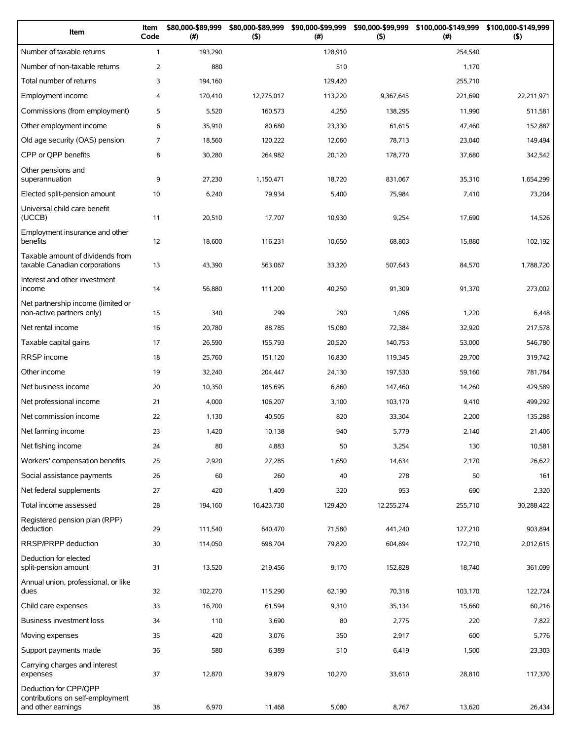| Item                                                                            | Item<br>Code   | \$80,000-\$89,999<br>$(\#)$ | \$80,000-\$89,999<br>(5) | \$90,000-\$99,999<br>(# ) | \$90,000-\$99,999<br>$($ \$) | \$100,000-\$149,999<br>(#) | \$100,000-\$149,999<br>$($ \$) |
|---------------------------------------------------------------------------------|----------------|-----------------------------|--------------------------|---------------------------|------------------------------|----------------------------|--------------------------------|
| Number of taxable returns                                                       | $\mathbf{1}$   | 193,290                     |                          | 128,910                   |                              | 254,540                    |                                |
| Number of non-taxable returns                                                   | $\overline{2}$ | 880                         |                          | 510                       |                              | 1,170                      |                                |
| Total number of returns                                                         | 3              | 194,160                     |                          | 129,420                   |                              | 255,710                    |                                |
| Employment income                                                               | 4              | 170,410                     | 12,775,017               | 113,220                   | 9,367,645                    | 221,690                    | 22,211,971                     |
| Commissions (from employment)                                                   | 5              | 5,520                       | 160,573                  | 4,250                     | 138,295                      | 11,990                     | 511,581                        |
| Other employment income                                                         | 6              | 35,910                      | 80,680                   | 23,330                    | 61,615                       | 47,460                     | 152,887                        |
| Old age security (OAS) pension                                                  | 7              | 18,560                      | 120,222                  | 12,060                    | 78,713                       | 23,040                     | 149,494                        |
| CPP or QPP benefits                                                             | 8              | 30,280                      | 264,982                  | 20,120                    | 178,770                      | 37,680                     | 342,542                        |
| Other pensions and<br>superannuation                                            | 9              | 27,230                      | 1,150,471                | 18,720                    | 831,067                      | 35,310                     | 1,654,299                      |
| Elected split-pension amount                                                    | 10             | 6,240                       | 79,934                   | 5,400                     | 75,984                       | 7,410                      | 73,204                         |
| Universal child care benefit<br>(UCCB)                                          | 11             | 20,510                      | 17,707                   | 10,930                    | 9,254                        | 17,690                     | 14,526                         |
| Employment insurance and other<br>benefits                                      | 12             | 18,600                      | 116,231                  | 10,650                    | 68,803                       | 15,880                     | 102,192                        |
| Taxable amount of dividends from<br>taxable Canadian corporations               | 13             | 43,390                      | 563,067                  | 33,320                    | 507,643                      | 84,570                     | 1,788,720                      |
| Interest and other investment<br>income                                         | 14             | 56,880                      | 111,200                  | 40,250                    | 91,309                       | 91,370                     | 273,002                        |
| Net partnership income (limited or<br>non-active partners only)                 | 15             | 340                         | 299                      | 290                       | 1,096                        | 1,220                      | 6,448                          |
| Net rental income                                                               | 16             | 20,780                      | 88,785                   | 15,080                    | 72,384                       | 32,920                     | 217,578                        |
| Taxable capital gains                                                           | 17             | 26,590                      | 155,793                  | 20,520                    | 140,753                      | 53,000                     | 546,780                        |
| RRSP income                                                                     | 18             | 25,760                      | 151,120                  | 16,830                    | 119,345                      | 29,700                     | 319,742                        |
| Other income                                                                    | 19             | 32,240                      | 204,447                  | 24,130                    | 197,530                      | 59,160                     | 781,784                        |
| Net business income                                                             | 20             | 10,350                      | 185,695                  | 6,860                     | 147,460                      | 14,260                     | 429,589                        |
| Net professional income                                                         | 21             | 4,000                       | 106,207                  | 3,100                     | 103,170                      | 9,410                      | 499,292                        |
| Net commission income                                                           | 22             | 1,130                       | 40,505                   | 820                       | 33,304                       | 2,200                      | 135,288                        |
| Net farming income                                                              | 23             | 1,420                       | 10,138                   | 940                       | 5,779                        | 2,140                      | 21,406                         |
| Net fishing income                                                              | 24             | 80                          | 4,883                    | 50                        | 3,254                        | 130                        | 10,581                         |
| Workers' compensation benefits                                                  | 25             | 2,920                       | 27,285                   | 1,650                     | 14,634                       | 2,170                      | 26,622                         |
| Social assistance payments                                                      | 26             | 60                          | 260                      | 40                        | 278                          | 50                         | 161                            |
| Net federal supplements                                                         | 27             | 420                         | 1,409                    | 320                       | 953                          | 690                        | 2,320                          |
| Total income assessed                                                           | 28             | 194,160                     | 16,423,730               | 129,420                   | 12,255,274                   | 255,710                    | 30,288,422                     |
| Registered pension plan (RPP)<br>deduction                                      | 29             | 111,540                     | 640,470                  | 71,580                    | 441,240                      | 127,210                    | 903,894                        |
| RRSP/PRPP deduction                                                             | 30             | 114,050                     | 698,704                  | 79,820                    | 604,894                      | 172,710                    | 2,012,615                      |
| Deduction for elected<br>split-pension amount                                   | 31             | 13,520                      | 219,456                  | 9,170                     | 152,828                      | 18,740                     | 361,099                        |
| Annual union, professional, or like<br>dues                                     | 32             | 102,270                     | 115,290                  | 62,190                    | 70,318                       | 103,170                    | 122,724                        |
| Child care expenses                                                             | 33             | 16,700                      | 61,594                   | 9,310                     | 35,134                       | 15,660                     | 60,216                         |
| Business investment loss                                                        | 34             | 110                         | 3,690                    | 80                        | 2,775                        | 220                        | 7,822                          |
| Moving expenses                                                                 | 35             | 420                         | 3,076                    | 350                       | 2,917                        | 600                        | 5,776                          |
| Support payments made                                                           | 36             | 580                         | 6,389                    | 510                       | 6,419                        | 1,500                      | 23,303                         |
| Carrying charges and interest<br>expenses                                       | 37             | 12,870                      | 39,879                   | 10,270                    | 33,610                       | 28,810                     | 117,370                        |
| Deduction for CPP/QPP<br>contributions on self-employment<br>and other earnings | 38             | 6,970                       | 11,468                   | 5,080                     | 8,767                        | 13,620                     | 26,434                         |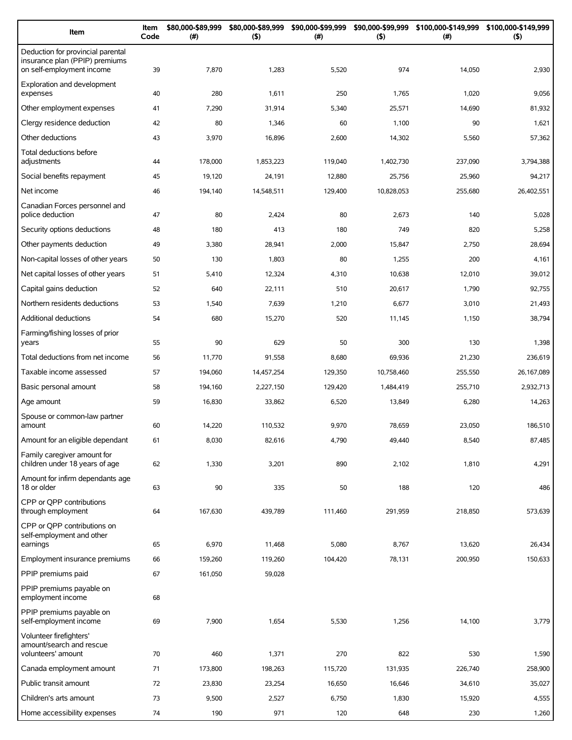| Item                                                                                             | Item<br>Code | \$80,000-\$89,999<br>(# ) | \$80,000-\$89,999<br>$($ \$) | \$90,000-\$99,999<br>(# ) | \$90,000-\$99,999<br>(5) | \$100,000-\$149,999<br>(#) | \$100,000-\$149,999<br>$($ \$) |
|--------------------------------------------------------------------------------------------------|--------------|---------------------------|------------------------------|---------------------------|--------------------------|----------------------------|--------------------------------|
| Deduction for provincial parental<br>insurance plan (PPIP) premiums<br>on self-employment income | 39           | 7,870                     | 1,283                        | 5,520                     | 974                      | 14,050                     | 2,930                          |
| Exploration and development<br>expenses                                                          | 40           | 280                       | 1,611                        | 250                       | 1,765                    | 1,020                      | 9,056                          |
| Other employment expenses                                                                        | 41           | 7,290                     | 31,914                       | 5,340                     | 25,571                   | 14,690                     | 81,932                         |
| Clergy residence deduction                                                                       | 42           | 80                        | 1,346                        | 60                        | 1,100                    | 90                         | 1,621                          |
| Other deductions                                                                                 | 43           | 3,970                     | 16,896                       | 2,600                     | 14,302                   | 5,560                      | 57,362                         |
| Total deductions before<br>adjustments                                                           | 44           | 178,000                   | 1,853,223                    | 119,040                   | 1,402,730                | 237,090                    | 3,794,388                      |
| Social benefits repayment                                                                        | 45           | 19,120                    | 24,191                       | 12,880                    | 25,756                   | 25,960                     | 94,217                         |
| Net income                                                                                       | 46           | 194,140                   | 14,548,511                   | 129,400                   | 10,828,053               | 255,680                    | 26,402,551                     |
| Canadian Forces personnel and<br>police deduction                                                | 47           | 80                        | 2,424                        | 80                        | 2,673                    | 140                        | 5,028                          |
| Security options deductions                                                                      | 48           | 180                       | 413                          | 180                       | 749                      | 820                        | 5,258                          |
| Other payments deduction                                                                         | 49           | 3,380                     | 28,941                       | 2,000                     | 15,847                   | 2,750                      | 28,694                         |
| Non-capital losses of other years                                                                | 50           | 130                       | 1,803                        | 80                        | 1,255                    | 200                        | 4,161                          |
| Net capital losses of other years                                                                | 51           | 5,410                     | 12,324                       | 4,310                     | 10,638                   | 12,010                     | 39,012                         |
| Capital gains deduction                                                                          | 52           | 640                       | 22,111                       | 510                       | 20,617                   | 1,790                      | 92,755                         |
| Northern residents deductions                                                                    | 53           | 1,540                     | 7,639                        | 1,210                     | 6,677                    | 3,010                      | 21,493                         |
| Additional deductions                                                                            | 54           | 680                       | 15,270                       | 520                       | 11,145                   | 1,150                      | 38,794                         |
| Farming/fishing losses of prior<br>years                                                         | 55           | 90                        | 629                          | 50                        | 300                      | 130                        | 1,398                          |
| Total deductions from net income                                                                 | 56           | 11,770                    | 91,558                       | 8,680                     | 69,936                   | 21,230                     | 236,619                        |
| Taxable income assessed                                                                          | 57           | 194,060                   | 14,457,254                   | 129,350                   | 10,758,460               | 255,550                    | 26,167,089                     |
| Basic personal amount                                                                            | 58           | 194,160                   | 2,227,150                    | 129,420                   | 1,484,419                | 255,710                    | 2,932,713                      |
| Age amount                                                                                       | 59           | 16,830                    | 33,862                       | 6,520                     | 13,849                   | 6,280                      | 14,263                         |
|                                                                                                  |              |                           |                              |                           |                          |                            |                                |
| Spouse or common-law partner<br>amount                                                           | 60           | 14,220                    | 110,532                      | 9,970                     | 78,659                   | 23,050                     | 186,510                        |
| Amount for an eligible dependant                                                                 | 61           | 8,030                     | 82,616                       | 4,790                     | 49,440                   | 8,540                      | 87,485                         |
| Family caregiver amount for<br>children under 18 years of age                                    | 62           | 1,330                     | 3,201                        | 890                       | 2,102                    | 1,810                      | 4,291                          |
| Amount for infirm dependants age<br>18 or older                                                  | 63           | 90                        | 335                          | 50                        | 188                      | 120                        | 486                            |
| CPP or OPP contributions<br>through employment                                                   | 64           | 167,630                   | 439,789                      | 111,460                   | 291,959                  | 218,850                    | 573,639                        |
| CPP or QPP contributions on<br>self-employment and other<br>earnings                             | 65           | 6,970                     | 11,468                       | 5,080                     | 8,767                    | 13,620                     | 26,434                         |
| Employment insurance premiums                                                                    | 66           | 159,260                   | 119,260                      | 104,420                   | 78,131                   | 200,950                    | 150,633                        |
| PPIP premiums paid                                                                               | 67           | 161,050                   | 59,028                       |                           |                          |                            |                                |
| PPIP premiums payable on<br>employment income                                                    | 68           |                           |                              |                           |                          |                            |                                |
| PPIP premiums payable on<br>self-employment income                                               | 69           | 7,900                     | 1,654                        | 5,530                     | 1,256                    | 14,100                     | 3,779                          |
| Volunteer firefighters'<br>amount/search and rescue<br>volunteers' amount                        | 70           | 460                       | 1,371                        | 270                       | 822                      | 530                        | 1,590                          |
| Canada employment amount                                                                         | 71           | 173,800                   | 198,263                      | 115,720                   | 131,935                  | 226,740                    | 258,900                        |
| Public transit amount                                                                            | 72           | 23,830                    | 23,254                       | 16,650                    | 16,646                   | 34,610                     | 35,027                         |
| Children's arts amount                                                                           | 73           | 9,500                     | 2,527                        | 6,750                     | 1,830                    | 15,920                     | 4,555                          |
| Home accessibility expenses                                                                      | 74           | 190                       | 971                          | 120                       | 648                      | 230                        | 1,260                          |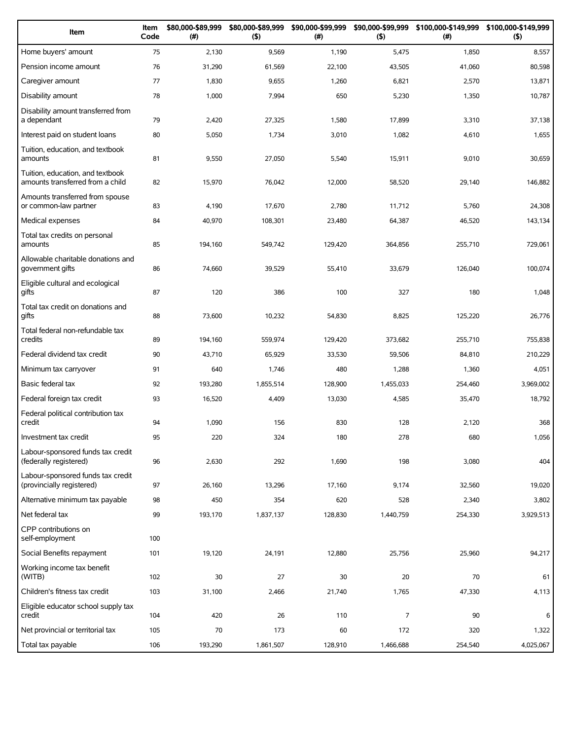| Item                                                                 | Item<br>Code | \$80,000-\$89,999<br>(#) | \$80,000-\$89,999<br>(5) | \$90,000-\$99,999<br>(# ) | \$90,000-\$99,999<br>(5) | (# )    | \$100,000-\$149,999 \$100,000-\$149,999<br>(5) |
|----------------------------------------------------------------------|--------------|--------------------------|--------------------------|---------------------------|--------------------------|---------|------------------------------------------------|
| Home buyers' amount                                                  | 75           | 2,130                    | 9,569                    | 1,190                     | 5,475                    | 1,850   | 8,557                                          |
| Pension income amount                                                | 76           | 31,290                   | 61,569                   | 22,100                    | 43,505                   | 41,060  | 80,598                                         |
| Caregiver amount                                                     | 77           | 1,830                    | 9,655                    | 1,260                     | 6,821                    | 2,570   | 13,871                                         |
| Disability amount                                                    | 78           | 1,000                    | 7,994                    | 650                       | 5,230                    | 1,350   | 10,787                                         |
| Disability amount transferred from<br>a dependant                    | 79           | 2,420                    | 27,325                   | 1,580                     | 17,899                   | 3,310   | 37,138                                         |
| Interest paid on student loans                                       | 80           | 5,050                    | 1,734                    | 3,010                     | 1,082                    | 4,610   | 1,655                                          |
| Tuition, education, and textbook<br>amounts                          | 81           | 9,550                    | 27,050                   | 5,540                     | 15,911                   | 9,010   | 30,659                                         |
| Tuition, education, and textbook<br>amounts transferred from a child | 82           | 15,970                   | 76,042                   | 12,000                    | 58,520                   | 29,140  | 146,882                                        |
| Amounts transferred from spouse<br>or common-law partner             | 83           | 4,190                    | 17,670                   | 2,780                     | 11,712                   | 5,760   | 24,308                                         |
| Medical expenses                                                     | 84           | 40,970                   | 108,301                  | 23,480                    | 64,387                   | 46,520  | 143,134                                        |
| Total tax credits on personal<br>amounts                             | 85           | 194,160                  | 549,742                  | 129,420                   | 364,856                  | 255,710 | 729,061                                        |
| Allowable charitable donations and<br>government gifts               | 86           | 74,660                   | 39,529                   | 55,410                    | 33,679                   | 126,040 | 100,074                                        |
| Eligible cultural and ecological<br>gifts                            | 87           | 120                      | 386                      | 100                       | 327                      | 180     | 1,048                                          |
| Total tax credit on donations and<br>gifts                           | 88           | 73,600                   | 10,232                   | 54,830                    | 8,825                    | 125,220 | 26,776                                         |
| Total federal non-refundable tax<br>credits                          | 89           | 194,160                  | 559,974                  | 129,420                   | 373,682                  | 255,710 | 755,838                                        |
| Federal dividend tax credit                                          | 90           | 43,710                   | 65,929                   | 33,530                    | 59,506                   | 84,810  | 210,229                                        |
| Minimum tax carryover                                                | 91           | 640                      | 1,746                    | 480                       | 1,288                    | 1,360   | 4,051                                          |
| Basic federal tax                                                    | 92           | 193,280                  | 1,855,514                | 128,900                   | 1,455,033                | 254,460 | 3,969,002                                      |
| Federal foreign tax credit                                           | 93           | 16,520                   | 4,409                    | 13,030                    | 4,585                    | 35,470  | 18,792                                         |
| Federal political contribution tax<br>credit                         | 94           | 1,090                    | 156                      | 830                       | 128                      | 2,120   | 368                                            |
| Investment tax credit                                                | 95           | 220                      | 324                      | 180                       | 278                      | 680     | 1,056                                          |
| Labour-sponsored funds tax credit<br>(federally registered)          | 96           | 2,630                    | 292                      | 1,690                     | 198                      | 3,080   | 404                                            |
| Labour-sponsored funds tax credit<br>(provincially registered)       | 97           | 26,160                   | 13,296                   | 17,160                    | 9,174                    | 32,560  | 19,020                                         |
| Alternative minimum tax payable                                      | 98           | 450                      | 354                      | 620                       | 528                      | 2,340   | 3,802                                          |
| Net federal tax                                                      | 99           | 193,170                  | 1,837,137                | 128,830                   | 1,440,759                | 254,330 | 3,929,513                                      |
| CPP contributions on<br>self-employment                              | 100          |                          |                          |                           |                          |         |                                                |
| Social Benefits repayment                                            | 101          | 19,120                   | 24,191                   | 12,880                    | 25,756                   | 25,960  | 94,217                                         |
| Working income tax benefit<br>(WITB)                                 | 102          | 30                       | 27                       | 30                        | 20                       | 70      | 61                                             |
| Children's fitness tax credit                                        | 103          | 31,100                   | 2,466                    | 21,740                    | 1,765                    | 47,330  | 4,113                                          |
| Eligible educator school supply tax<br>credit                        | 104          | 420                      | 26                       | 110                       | $\overline{7}$           | 90      | 6                                              |
| Net provincial or territorial tax                                    | 105          | 70                       | 173                      | 60                        | 172                      | 320     | 1,322                                          |
| Total tax payable                                                    | 106          | 193,290                  | 1,861,507                | 128,910                   | 1,466,688                | 254,540 | 4,025,067                                      |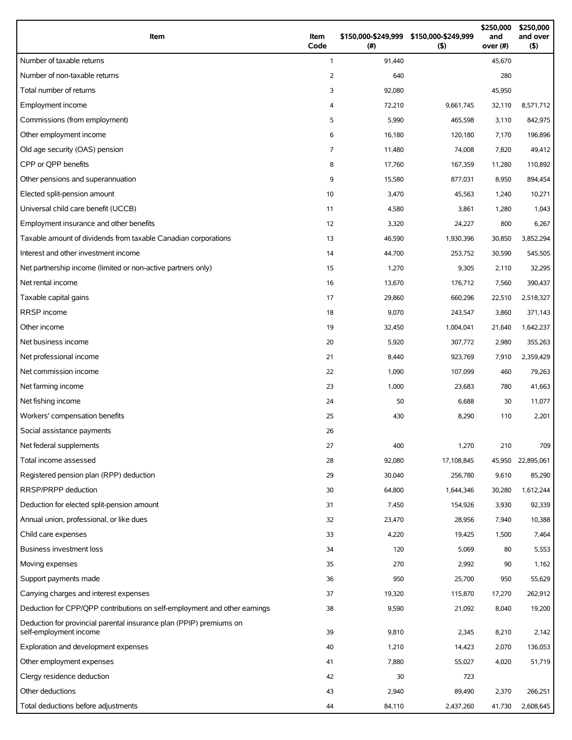| Item                                                                                          | Item<br>Code   | (#)        | \$150,000-\$249,999 \$150,000-\$249,999<br>(5) | \$250,000<br>and<br>over (#) | \$250,000<br>and over<br>(5) |
|-----------------------------------------------------------------------------------------------|----------------|------------|------------------------------------------------|------------------------------|------------------------------|
| Number of taxable returns                                                                     | $\mathbf{1}$   | 91,440     |                                                | 45,670                       |                              |
| Number of non-taxable returns                                                                 | 2              | 640        |                                                | 280                          |                              |
| Total number of returns                                                                       | 3              | 92,080     |                                                | 45,950                       |                              |
| Employment income                                                                             | 4              | 72,210     | 9,661,745                                      | 32,110                       | 8,571,712                    |
| Commissions (from employment)                                                                 | 5              | 5,990      | 465,598                                        | 3,110                        | 842,975                      |
| Other employment income                                                                       | 6              | 16,180     | 120.180                                        | 7,170                        | 196,896                      |
| Old age security (OAS) pension                                                                | $\overline{7}$ | 11,480     | 74,008                                         | 7,820                        | 49,412                       |
| CPP or OPP benefits                                                                           | 8              | 17,760     | 167,359                                        | 11,280                       | 110,892                      |
| Other pensions and superannuation                                                             | 9              | 15,580     | 877,031                                        | 8,950                        | 894,454                      |
| Elected split-pension amount                                                                  | 10             | 3,470      | 45,563                                         | 1,240                        | 10,271                       |
| Universal child care benefit (UCCB)                                                           | 11             | 4,580      | 3,861                                          | 1,280                        | 1,043                        |
| Employment insurance and other benefits                                                       | 12             | 3,320      | 24,227                                         | 800                          | 6,267                        |
| Taxable amount of dividends from taxable Canadian corporations                                | 13             | 46,590     | 1,930,396                                      | 30,850                       | 3,852,294                    |
| Interest and other investment income                                                          | 14             | 44,700     | 253,752                                        | 30,590                       | 545,505                      |
| Net partnership income (limited or non-active partners only)                                  | 15             | 1,270      | 9,305                                          | 2,110                        | 32,295                       |
| Net rental income                                                                             | 16             | 13,670     | 176,712                                        | 7,560                        | 390,437                      |
| Taxable capital gains                                                                         | 17             | 29,860     | 660,296                                        | 22,510                       | 2,518,327                    |
| RRSP income                                                                                   | 18             | 9,070      | 243,547                                        | 3,860                        | 371,143                      |
| Other income                                                                                  | 19             | 32,450     | 1,004,041                                      | 21,640                       | 1,642,237                    |
| Net business income                                                                           | 20             | 5,920      | 307,772                                        | 2,980                        | 355,263                      |
| Net professional income                                                                       | 21             | 8,440      | 923,769                                        | 7,910                        | 2,359,429                    |
| Net commission income                                                                         | 22             | 1,090      | 107,099                                        | 460                          | 79,263                       |
| Net farming income                                                                            | 23             | 1,000      | 23,683                                         | 780                          | 41,663                       |
| Net fishing income                                                                            | 24             | 50         | 6,688                                          | 30                           | 11,077                       |
| Workers' compensation benefits                                                                | 25             | 430        | 8,290                                          | 110                          | 2,201                        |
| Social assistance payments                                                                    | 26             |            |                                                |                              |                              |
| Net federal supplements                                                                       | 27             | 400        | 1,270                                          | 210                          | 709                          |
| Total income assessed                                                                         | 28             | 92,080     | 17,108,845                                     | 45,950                       | 22,895,061                   |
| Registered pension plan (RPP) deduction                                                       | 29             | 30,040     | 256,780                                        | 9,610                        | 85,290                       |
| RRSP/PRPP deduction                                                                           | 30             | 64,800     | 1,644,346                                      | 30,280                       | 1,612,244                    |
| Deduction for elected split-pension amount                                                    | 31             | 7,450      | 154,926                                        | 3,930                        | 92,339                       |
| Annual union, professional, or like dues                                                      | 32             | 23,470     | 28,956                                         | 7,940                        | 10,388                       |
| Child care expenses                                                                           | 33             | 4,220      | 19,425                                         | 1,500                        | 7,464                        |
| Business investment loss                                                                      | 34             | 120        | 5,069                                          | 80                           | 5,553                        |
|                                                                                               |                |            |                                                |                              |                              |
| Moving expenses<br>Support payments made                                                      | 35<br>36       | 270<br>950 | 2,992<br>25,700                                | 90<br>950                    | 1,162<br>55,629              |
|                                                                                               |                |            |                                                |                              |                              |
| Carrying charges and interest expenses                                                        | 37             | 19,320     | 115,870                                        | 17,270                       | 262,912                      |
| Deduction for CPP/QPP contributions on self-employment and other earnings                     | 38             | 9,590      | 21,092                                         | 8,040                        | 19,200                       |
| Deduction for provincial parental insurance plan (PPIP) premiums on<br>self-employment income | 39             | 9,810      | 2,345                                          | 8,210                        | 2,142                        |
| Exploration and development expenses                                                          | 40             | 1,210      | 14,423                                         | 2,070                        | 136,053                      |
| Other employment expenses                                                                     | 41             | 7,880      | 55,027                                         | 4,020                        | 51,719                       |
| Clergy residence deduction                                                                    | 42             | 30         | 723                                            |                              |                              |
| Other deductions                                                                              | 43             | 2,940      | 89,490                                         | 2,370                        | 266,251                      |
| Total deductions before adjustments                                                           | 44             | 84,110     | 2,437,260                                      | 41,730                       | 2,608,645                    |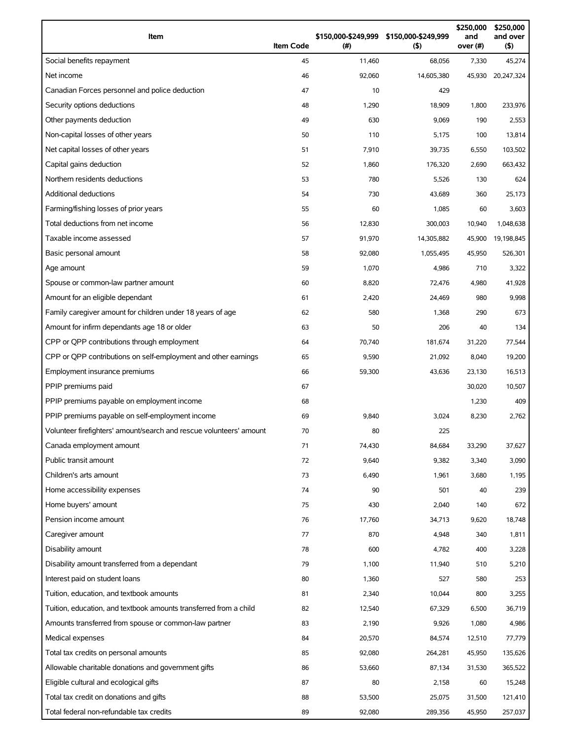| Item                                                                | <b>Item Code</b> | \$150,000-\$249,999 \$150,000-\$249,999<br>(#) | $($ \$)    | \$250,000<br>and<br>over (#) | \$250,000<br>and over<br>(5) |
|---------------------------------------------------------------------|------------------|------------------------------------------------|------------|------------------------------|------------------------------|
| Social benefits repayment                                           | 45               | 11,460                                         | 68,056     | 7,330                        | 45,274                       |
| Net income                                                          | 46               | 92,060                                         | 14,605,380 | 45,930                       | 20,247,324                   |
| Canadian Forces personnel and police deduction                      | 47               | 10                                             | 429        |                              |                              |
| Security options deductions                                         | 48               | 1,290                                          | 18,909     | 1,800                        | 233,976                      |
| Other payments deduction                                            | 49               | 630                                            | 9,069      | 190                          | 2,553                        |
| Non-capital losses of other years                                   | 50               | 110                                            | 5,175      | 100                          | 13,814                       |
| Net capital losses of other years                                   | 51               | 7,910                                          | 39,735     | 6,550                        | 103,502                      |
| Capital gains deduction                                             | 52               | 1,860                                          | 176,320    | 2,690                        | 663,432                      |
| Northern residents deductions                                       | 53               | 780                                            | 5,526      | 130                          | 624                          |
| <b>Additional deductions</b>                                        | 54               | 730                                            | 43,689     | 360                          | 25,173                       |
| Farming/fishing losses of prior years                               | 55               | 60                                             | 1,085      | 60                           | 3,603                        |
| Total deductions from net income                                    | 56               | 12,830                                         | 300,003    | 10,940                       | 1,048,638                    |
| Taxable income assessed                                             | 57               | 91,970                                         | 14,305,882 | 45,900                       | 19,198,845                   |
| Basic personal amount                                               | 58               | 92,080                                         | 1,055,495  | 45,950                       | 526,301                      |
| Age amount                                                          | 59               | 1,070                                          | 4,986      | 710                          | 3,322                        |
| Spouse or common-law partner amount                                 | 60               | 8,820                                          | 72,476     | 4,980                        | 41,928                       |
| Amount for an eligible dependant                                    | 61               | 2,420                                          | 24,469     | 980                          | 9,998                        |
| Family caregiver amount for children under 18 years of age          | 62               | 580                                            | 1,368      | 290                          | 673                          |
| Amount for infirm dependants age 18 or older                        | 63               | 50                                             | 206        | 40                           | 134                          |
| CPP or QPP contributions through employment                         | 64               | 70,740                                         | 181,674    | 31,220                       | 77,544                       |
| CPP or QPP contributions on self-employment and other earnings      | 65               | 9,590                                          | 21,092     | 8,040                        | 19,200                       |
| Employment insurance premiums                                       | 66               | 59,300                                         | 43,636     | 23,130                       | 16,513                       |
| PPIP premiums paid                                                  | 67               |                                                |            | 30,020                       | 10,507                       |
| PPIP premiums payable on employment income                          | 68               |                                                |            | 1,230                        | 409                          |
| PPIP premiums payable on self-employment income                     | 69               | 9,840                                          | 3,024      | 8,230                        | 2,762                        |
| Volunteer firefighters' amount/search and rescue volunteers' amount | 70               | 80                                             | 225        |                              |                              |
| Canada employment amount                                            | 71               | 74,430                                         | 84,684     | 33,290                       | 37,627                       |
| Public transit amount                                               | 72               | 9,640                                          | 9,382      | 3,340                        | 3,090                        |
| Children's arts amount                                              | 73               | 6,490                                          | 1,961      | 3,680                        | 1,195                        |
| Home accessibility expenses                                         | 74               | 90                                             | 501        | 40                           | 239                          |
| Home buyers' amount                                                 | 75               | 430                                            | 2,040      | 140                          | 672                          |
| Pension income amount                                               | 76               | 17,760                                         | 34,713     | 9,620                        | 18,748                       |
| Caregiver amount                                                    | 77               | 870                                            | 4,948      | 340                          | 1,811                        |
| Disability amount                                                   | 78               | 600                                            | 4,782      | 400                          | 3,228                        |
| Disability amount transferred from a dependant                      | 79               | 1,100                                          | 11,940     | 510                          | 5,210                        |
| Interest paid on student loans                                      | 80               | 1,360                                          | 527        | 580                          | 253                          |
| Tuition, education, and textbook amounts                            | 81               | 2,340                                          | 10,044     | 800                          | 3,255                        |
| Tuition, education, and textbook amounts transferred from a child   | 82               | 12,540                                         | 67,329     | 6,500                        | 36,719                       |
| Amounts transferred from spouse or common-law partner               | 83               | 2,190                                          | 9,926      | 1,080                        | 4,986                        |
| Medical expenses                                                    | 84               | 20,570                                         | 84,574     | 12,510                       | 77,779                       |
| Total tax credits on personal amounts                               | 85               | 92,080                                         | 264,281    | 45,950                       | 135,626                      |
| Allowable charitable donations and government gifts                 | 86               | 53,660                                         | 87,134     | 31,530                       | 365,522                      |
| Eligible cultural and ecological gifts                              | 87               | 80                                             | 2,158      | 60                           | 15,248                       |
| Total tax credit on donations and gifts                             | 88               | 53,500                                         | 25,075     | 31,500                       | 121,410                      |
| Total federal non-refundable tax credits                            | 89               | 92,080                                         | 289,356    | 45,950                       | 257,037                      |